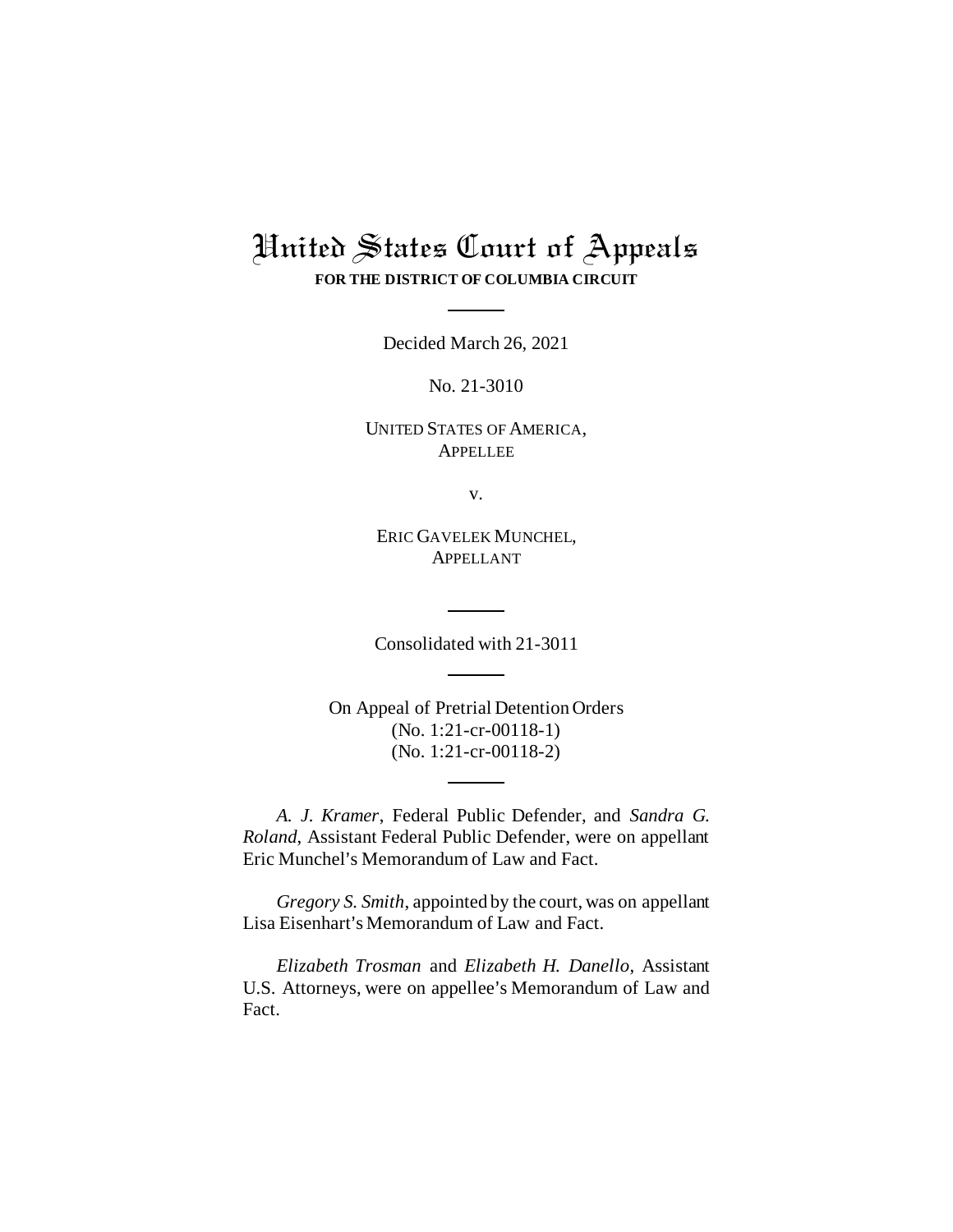# United States Court of Appeals **FOR THE DISTRICT OF COLUMBIA CIRCUIT**

Decided March 26, 2021

No. 21-3010

UNITED STATES OF AMERICA, APPELLEE

v.

ERIC GAVELEK MUNCHEL, APPELLANT

Consolidated with 21-3011

On Appeal of Pretrial Detention Orders (No. 1:21-cr-00118-1) (No. 1:21-cr-00118-2)

*A. J. Kramer*, Federal Public Defender, and *Sandra G. Roland*, Assistant Federal Public Defender, were on appellant Eric Munchel's Memorandum of Law and Fact.

*Gregory S. Smith*, appointed by the court, was on appellant Lisa Eisenhart's Memorandum of Law and Fact.

*Elizabeth Trosman* and *Elizabeth H. Danello*, Assistant U.S. Attorneys, were on appellee's Memorandum of Law and Fact.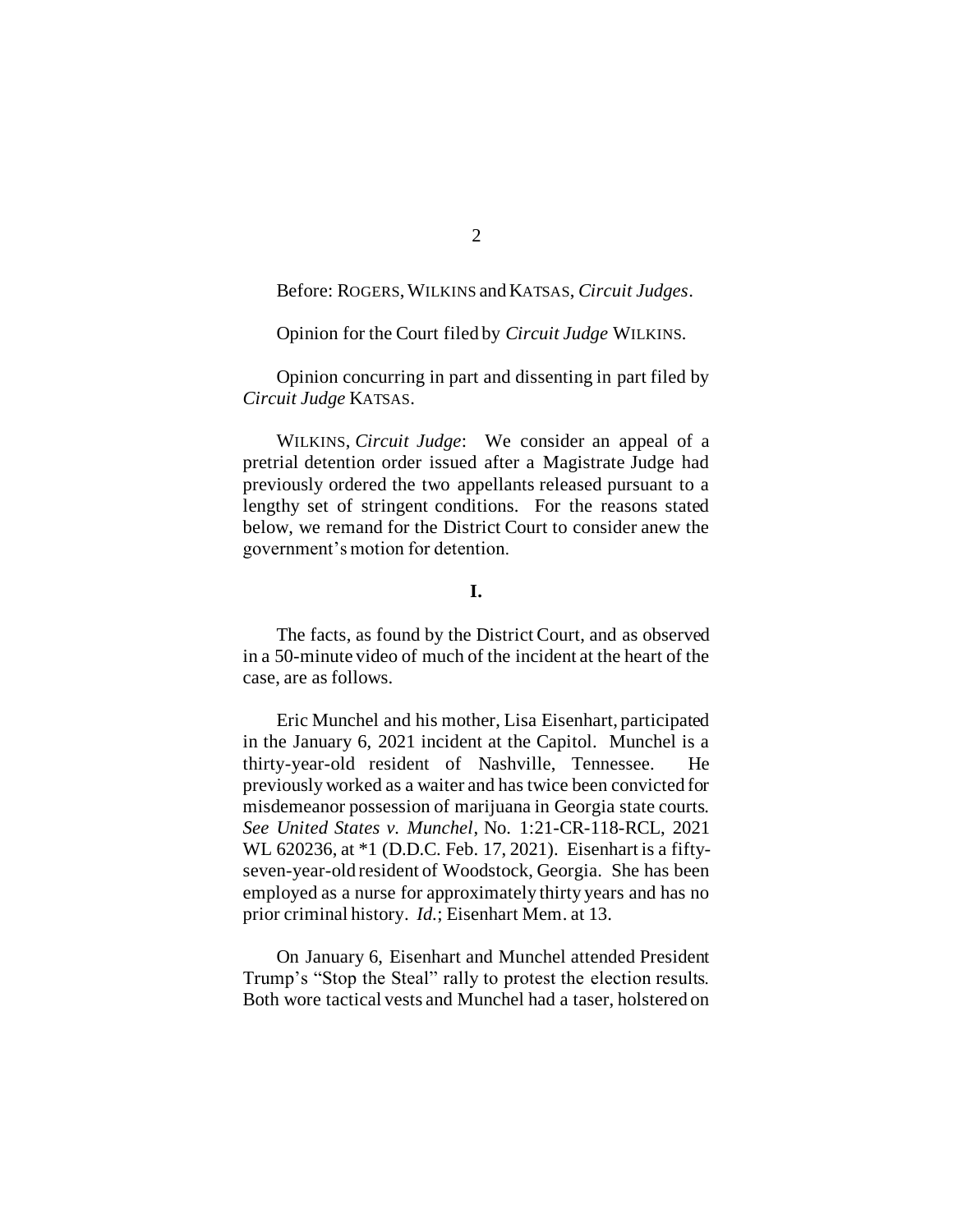Before: ROGERS, WILKINS and KATSAS, *Circuit Judges*.

Opinion for the Court filed by *Circuit Judge* WILKINS*.*

Opinion concurring in part and dissenting in part filed by *Circuit Judge* KATSAS.

WILKINS, *Circuit Judge*: We consider an appeal of a pretrial detention order issued after a Magistrate Judge had previously ordered the two appellants released pursuant to a lengthy set of stringent conditions. For the reasons stated below, we remand for the District Court to consider anew the government's motion for detention.

## **I.**

The facts, as found by the District Court, and as observed in a 50-minute video of much of the incident at the heart of the case, are as follows.

Eric Munchel and his mother, Lisa Eisenhart, participated in the January 6, 2021 incident at the Capitol. Munchel is a thirty-year-old resident of Nashville, Tennessee. He previously worked as a waiter and has twice been convicted for misdemeanor possession of marijuana in Georgia state courts. *See United States v. Munchel*, No. 1:21-CR-118-RCL, 2021 WL 620236, at \*1 (D.D.C. Feb. 17, 2021). Eisenhart is a fiftyseven-year-old resident of Woodstock, Georgia. She has been employed as a nurse for approximately thirty years and has no prior criminal history. *Id.*; Eisenhart Mem. at 13.

On January 6, Eisenhart and Munchel attended President Trump's "Stop the Steal" rally to protest the election results. Both wore tactical vests and Munchel had a taser, holstered on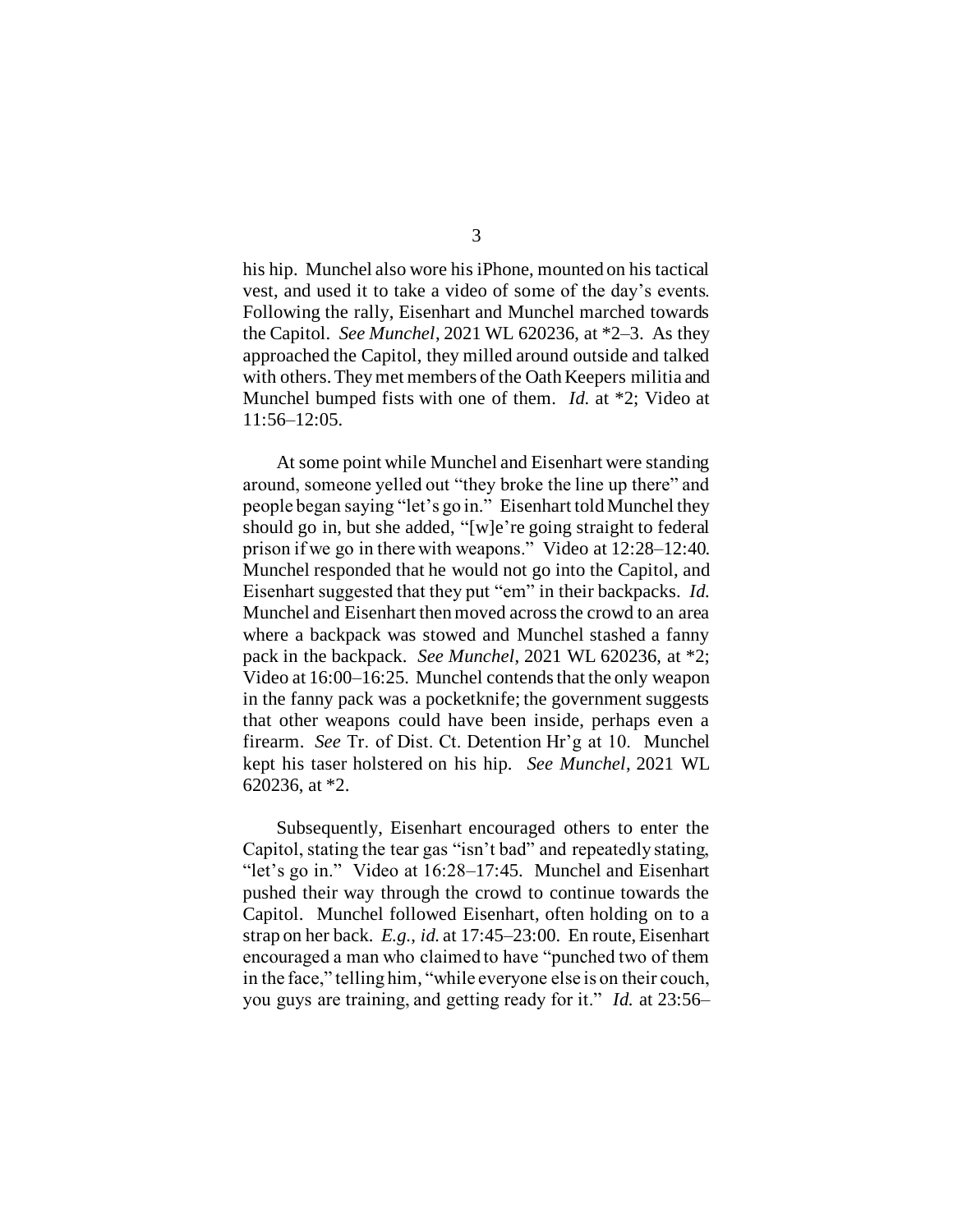his hip. Munchel also wore his iPhone, mounted on his tactical vest, and used it to take a video of some of the day's events. Following the rally, Eisenhart and Munchel marched towards the Capitol. *See Munchel*, 2021 WL 620236, at \*2–3. As they approached the Capitol, they milled around outside and talked with others. They met members of the Oath Keepers militia and Munchel bumped fists with one of them. *Id.* at \*2; Video at 11:56–12:05.

At some point while Munchel and Eisenhart were standing around, someone yelled out "they broke the line up there" and people began saying "let's go in." Eisenhart told Munchel they should go in, but she added, "[w]e're going straight to federal prison if we go in there with weapons." Video at 12:28–12:40. Munchel responded that he would not go into the Capitol, and Eisenhart suggested that they put "em" in their backpacks. *Id.* Munchel and Eisenhart then moved across the crowd to an area where a backpack was stowed and Munchel stashed a fanny pack in the backpack. *See Munchel*, 2021 WL 620236, at \*2; Video at 16:00–16:25. Munchel contends that the only weapon in the fanny pack was a pocketknife; the government suggests that other weapons could have been inside, perhaps even a firearm. *See* Tr. of Dist. Ct. Detention Hr'g at 10. Munchel kept his taser holstered on his hip. *See Munchel*, 2021 WL 620236, at \*2.

Subsequently, Eisenhart encouraged others to enter the Capitol, stating the tear gas "isn't bad" and repeatedly stating, "let's go in." Video at 16:28–17:45. Munchel and Eisenhart pushed their way through the crowd to continue towards the Capitol. Munchel followed Eisenhart, often holding on to a strap on her back. *E.g.*, *id.* at 17:45–23:00. En route, Eisenhart encouraged a man who claimed to have "punched two of them in the face," telling him, "while everyone else is on their couch, you guys are training, and getting ready for it." *Id.* at 23:56–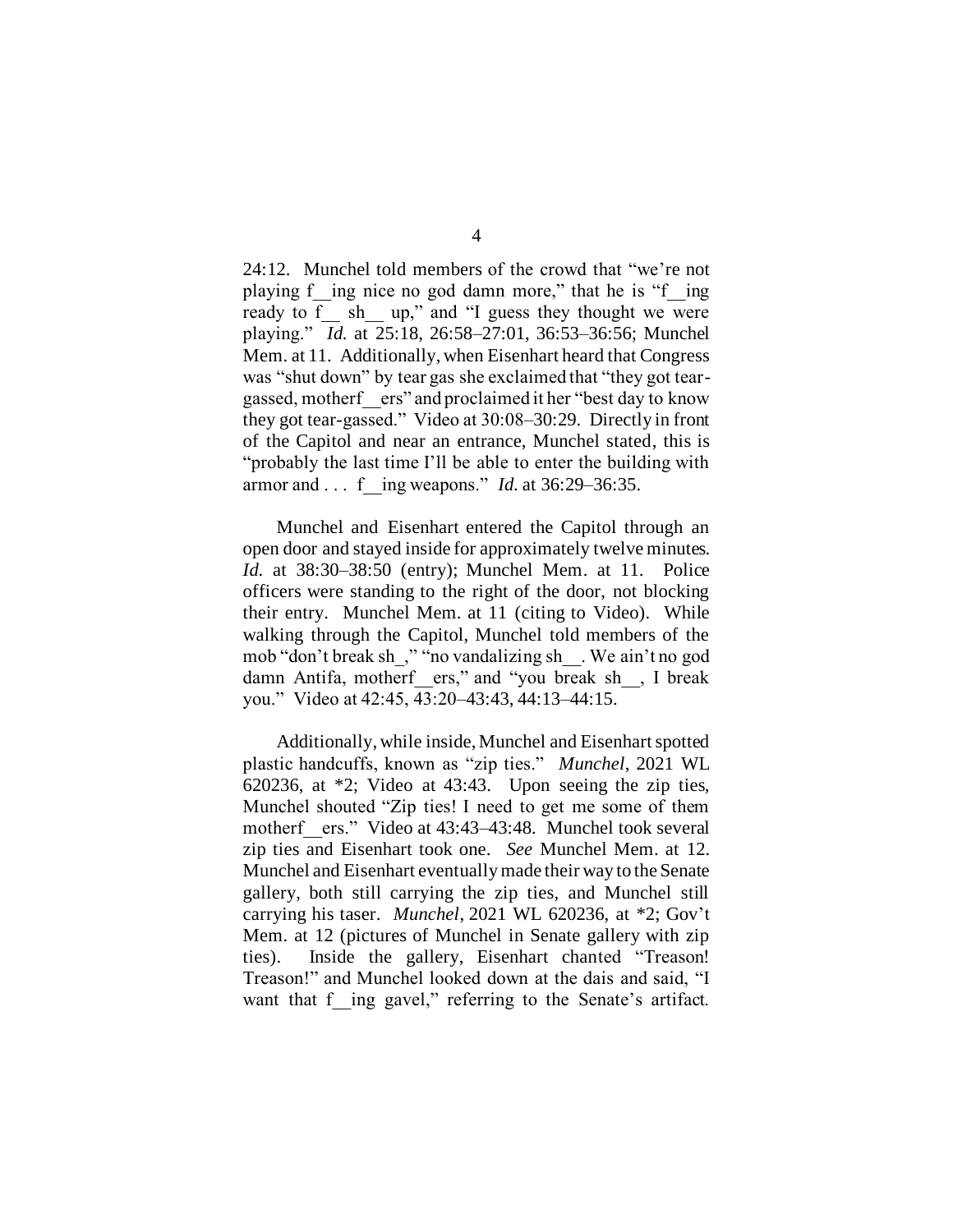24:12. Munchel told members of the crowd that "we're not playing f ing nice no god damn more," that he is "f ing ready to f \_\_ sh \_\_ up," and "I guess they thought we were playing." *Id.* at 25:18, 26:58–27:01, 36:53–36:56; Munchel Mem. at 11. Additionally, when Eisenhart heard that Congress was "shut down" by tear gas she exclaimed that "they got teargassed, motherf\_\_ers" and proclaimed it her "best day to know they got tear-gassed." Video at 30:08–30:29. Directly in front of the Capitol and near an entrance, Munchel stated, this is "probably the last time I'll be able to enter the building with armor and . . . f\_\_ing weapons." *Id.* at 36:29–36:35.

Munchel and Eisenhart entered the Capitol through an open door and stayed inside for approximately twelve minutes. *Id.* at 38:30–38:50 (entry); Munchel Mem. at 11. Police officers were standing to the right of the door, not blocking their entry. Munchel Mem. at 11 (citing to Video). While walking through the Capitol, Munchel told members of the mob "don't break sh\_," "no vandalizing sh\_\_. We ain't no god damn Antifa, motherf\_\_ers," and "you break sh\_\_, I break you." Video at 42:45, 43:20–43:43, 44:13–44:15.

Additionally, while inside, Munchel and Eisenhart spotted plastic handcuffs, known as "zip ties." *Munchel*, 2021 WL 620236, at \*2; Video at 43:43. Upon seeing the zip ties, Munchel shouted "Zip ties! I need to get me some of them motherf\_\_ers." Video at 43:43–43:48. Munchel took several zip ties and Eisenhart took one. *See* Munchel Mem. at 12. Munchel and Eisenhart eventually made their way to the Senate gallery, both still carrying the zip ties, and Munchel still carrying his taser. *Munchel*, 2021 WL 620236, at \*2; Gov't Mem. at 12 (pictures of Munchel in Senate gallery with zip ties). Inside the gallery, Eisenhart chanted "Treason! Treason!" and Munchel looked down at the dais and said, "I want that f ing gavel," referring to the Senate's artifact.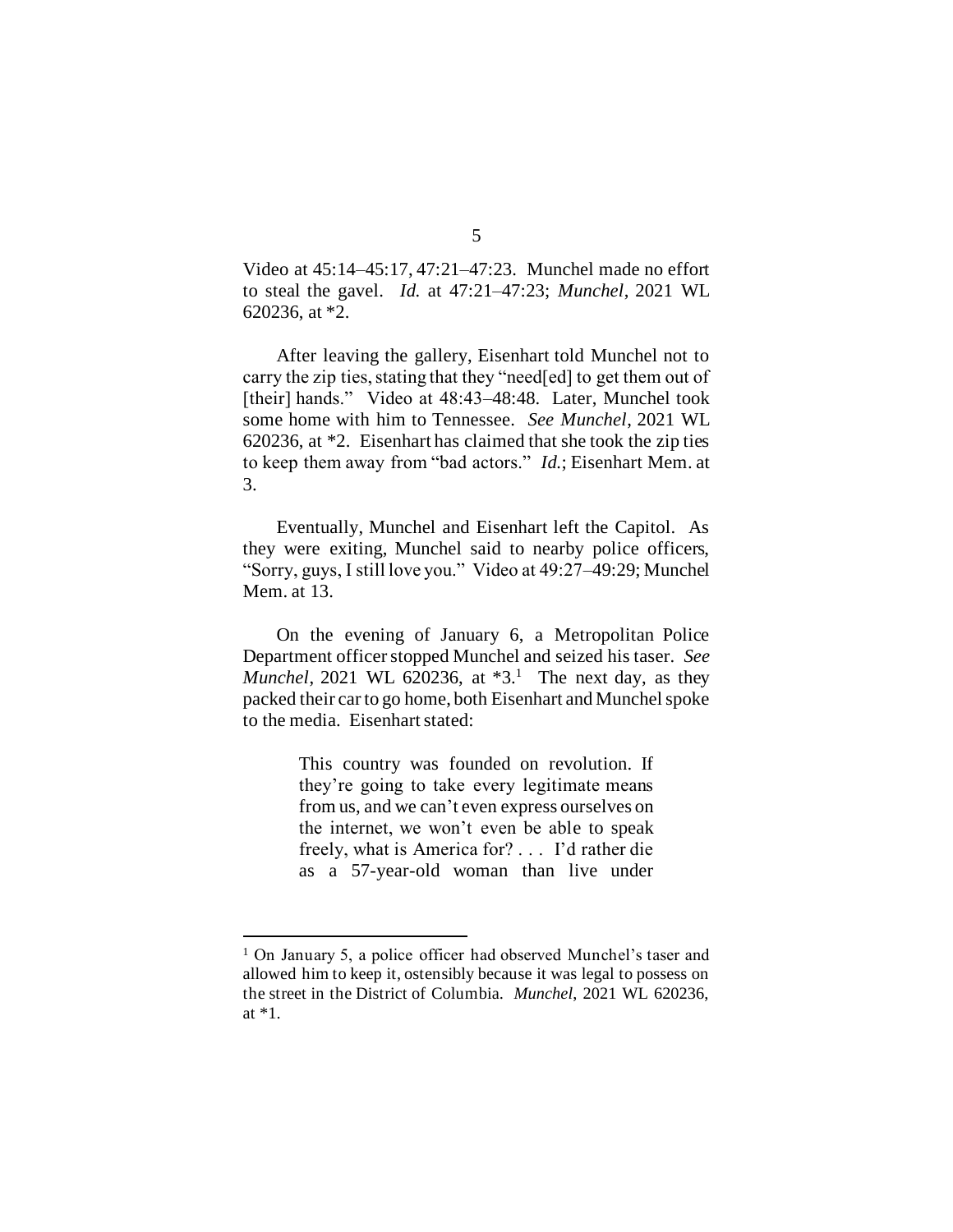Video at 45:14–45:17, 47:21–47:23. Munchel made no effort to steal the gavel. *Id.* at 47:21–47:23; *Munchel*, 2021 WL 620236, at \*2.

After leaving the gallery, Eisenhart told Munchel not to carry the zip ties, stating that they "need[ed] to get them out of [their] hands." Video at 48:43-48:48. Later, Munchel took some home with him to Tennessee. *See Munchel*, 2021 WL 620236, at \*2. Eisenhart has claimed that she took the zip ties to keep them away from "bad actors." *Id.*; Eisenhart Mem. at 3.

Eventually, Munchel and Eisenhart left the Capitol. As they were exiting, Munchel said to nearby police officers, "Sorry, guys, I still love you." Video at 49:27–49:29; Munchel Mem. at 13.

On the evening of January 6, a Metropolitan Police Department officer stopped Munchel and seized his taser. *See Munchel*, 2021 WL 620236, at \*3. 1 The next day, as they packed their car to go home, both Eisenhart and Munchel spoke to the media. Eisenhart stated:

> This country was founded on revolution. If they're going to take every legitimate means from us, and we can't even express ourselves on the internet, we won't even be able to speak freely, what is America for? . . . I'd rather die as a 57-year-old woman than live under

<sup>1</sup> On January 5, a police officer had observed Munchel's taser and allowed him to keep it, ostensibly because it was legal to possess on the street in the District of Columbia. *Munchel*, 2021 WL 620236, at \*1.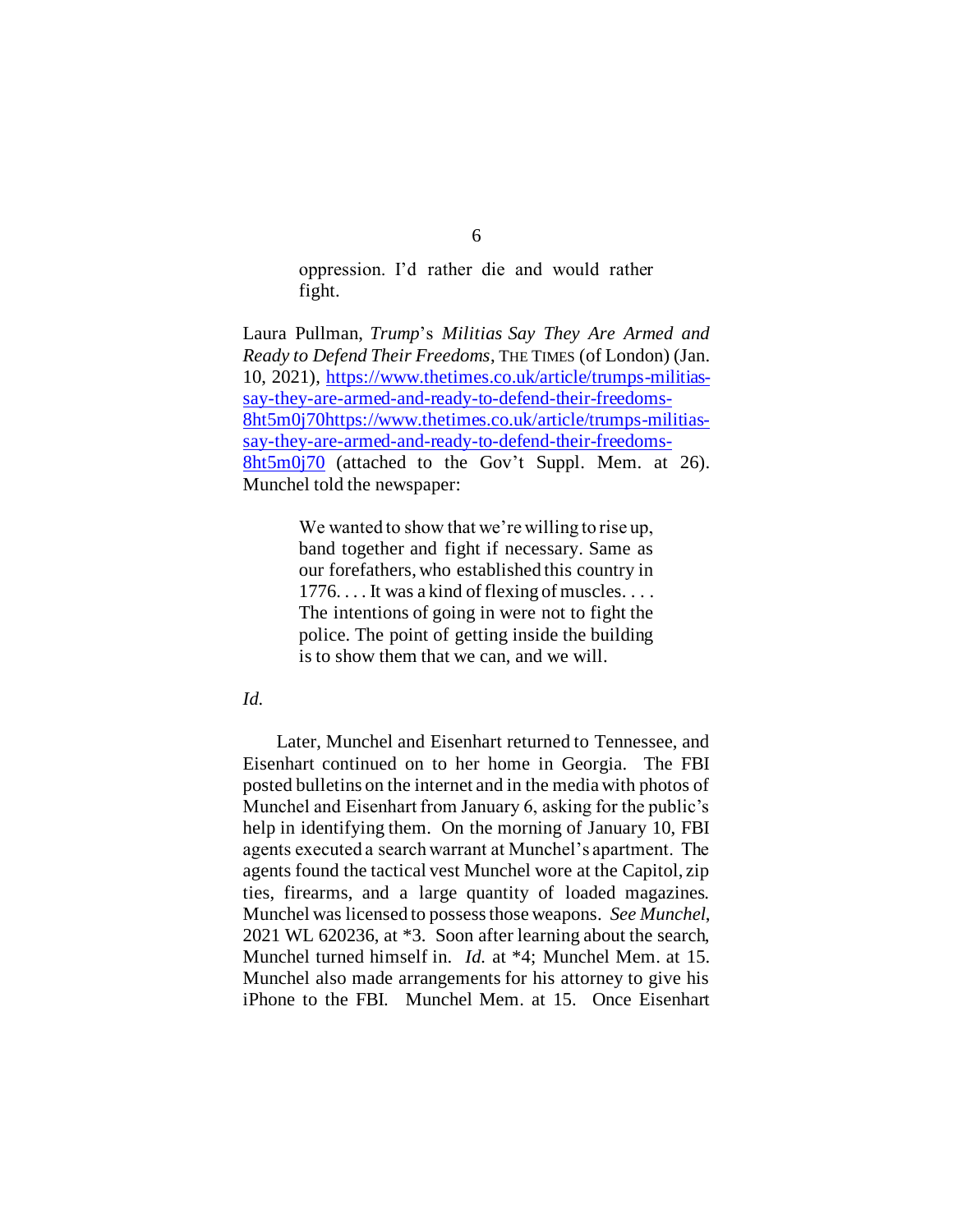oppression. I'd rather die and would rather fight.

Laura Pullman, *Trump*'s *Militias Say They Are Armed and Ready to Defend Their Freedoms*, THE TIMES (of London) (Jan. 10, 2021), [https://www.thetimes.co.uk/article/trumps-militias](https://www.thetimes.co.uk/article/trumps-militias-say-they-are-armed-and-ready-to-defend-their-freedoms-8ht5m0j70)[say-they-are-armed-and-ready-to-defend-their-freedoms-](https://www.thetimes.co.uk/article/trumps-militias-say-they-are-armed-and-ready-to-defend-their-freedoms-8ht5m0j70)[8ht5m0j70https://www.thetimes.co.uk/article/trumps-militias](https://www.thetimes.co.uk/article/trumps-militias-say-they-are-armed-and-ready-to-defend-their-freedoms-8ht5m0j70)[say-they-are-armed-and-ready-to-defend-their-freedoms-](https://www.thetimes.co.uk/article/trumps-militias-say-they-are-armed-and-ready-to-defend-their-freedoms-8ht5m0j70)[8ht5m0j70](https://www.thetimes.co.uk/article/trumps-militias-say-they-are-armed-and-ready-to-defend-their-freedoms-8ht5m0j70) (attached to the Gov't Suppl. Mem. at 26). Munchel told the newspaper:

> We wanted to show that we're willing to rise up, band together and fight if necessary. Same as our forefathers, who established this country in 1776. . . . It was a kind of flexing of muscles. . . . The intentions of going in were not to fight the police. The point of getting inside the building is to show them that we can, and we will.

## *Id.*

Later, Munchel and Eisenhart returned to Tennessee, and Eisenhart continued on to her home in Georgia. The FBI posted bulletins on the internet and in the media with photos of Munchel and Eisenhart from January 6, asking for the public's help in identifying them. On the morning of January 10, FBI agents executed a search warrant at Munchel's apartment. The agents found the tactical vest Munchel wore at the Capitol, zip ties, firearms, and a large quantity of loaded magazines. Munchel was licensed to possess those weapons. *See Munchel*, 2021 WL 620236, at \*3. Soon after learning about the search, Munchel turned himself in. *Id.* at \*4; Munchel Mem. at 15. Munchel also made arrangements for his attorney to give his iPhone to the FBI. Munchel Mem. at 15. Once Eisenhart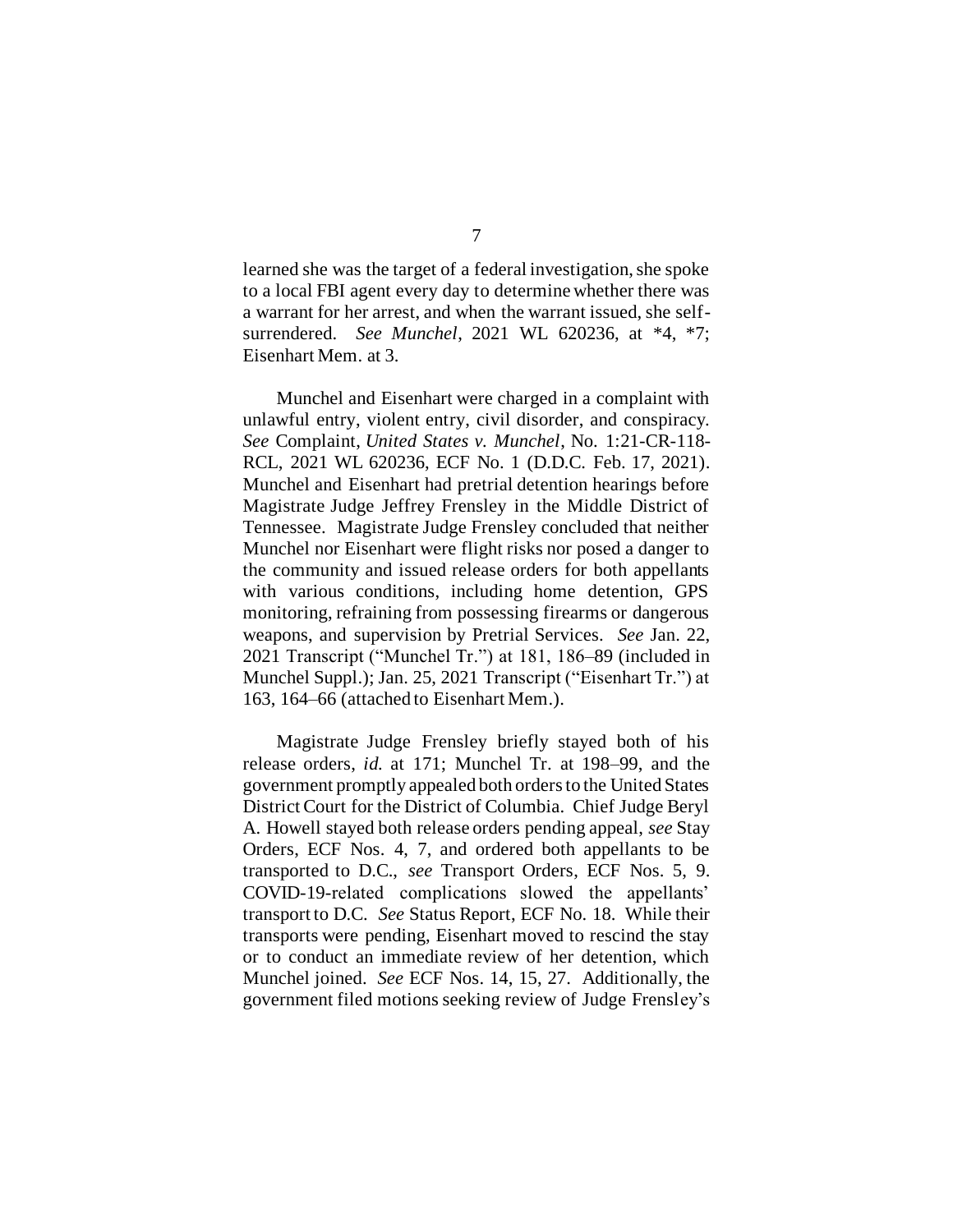learned she was the target of a federal investigation, she spoke to a local FBI agent every day to determine whether there was a warrant for her arrest, and when the warrant issued, she selfsurrendered. *See Munchel*, 2021 WL 620236, at \*4, \*7; Eisenhart Mem. at 3.

Munchel and Eisenhart were charged in a complaint with unlawful entry, violent entry, civil disorder, and conspiracy. *See* Complaint, *United States v. Munchel*, No. 1:21-CR-118- RCL, 2021 WL 620236, ECF No. 1 (D.D.C. Feb. 17, 2021). Munchel and Eisenhart had pretrial detention hearings before Magistrate Judge Jeffrey Frensley in the Middle District of Tennessee. Magistrate Judge Frensley concluded that neither Munchel nor Eisenhart were flight risks nor posed a danger to the community and issued release orders for both appellants with various conditions, including home detention, GPS monitoring, refraining from possessing firearms or dangerous weapons, and supervision by Pretrial Services. *See* Jan. 22, 2021 Transcript ("Munchel Tr.") at 181, 186–89 (included in Munchel Suppl.); Jan. 25, 2021 Transcript ("Eisenhart Tr.") at 163, 164–66 (attached to Eisenhart Mem.).

Magistrate Judge Frensley briefly stayed both of his release orders, *id.* at 171; Munchel Tr. at 198–99, and the government promptly appealed both orders to the United States District Court for the District of Columbia. Chief Judge Beryl A. Howell stayed both release orders pending appeal, *see* Stay Orders, ECF Nos. 4, 7, and ordered both appellants to be transported to D.C., *see* Transport Orders, ECF Nos. 5, 9. COVID-19-related complications slowed the appellants' transport to D.C. *See* Status Report, ECF No. 18. While their transports were pending, Eisenhart moved to rescind the stay or to conduct an immediate review of her detention, which Munchel joined. *See* ECF Nos. 14, 15, 27. Additionally, the government filed motions seeking review of Judge Frensley's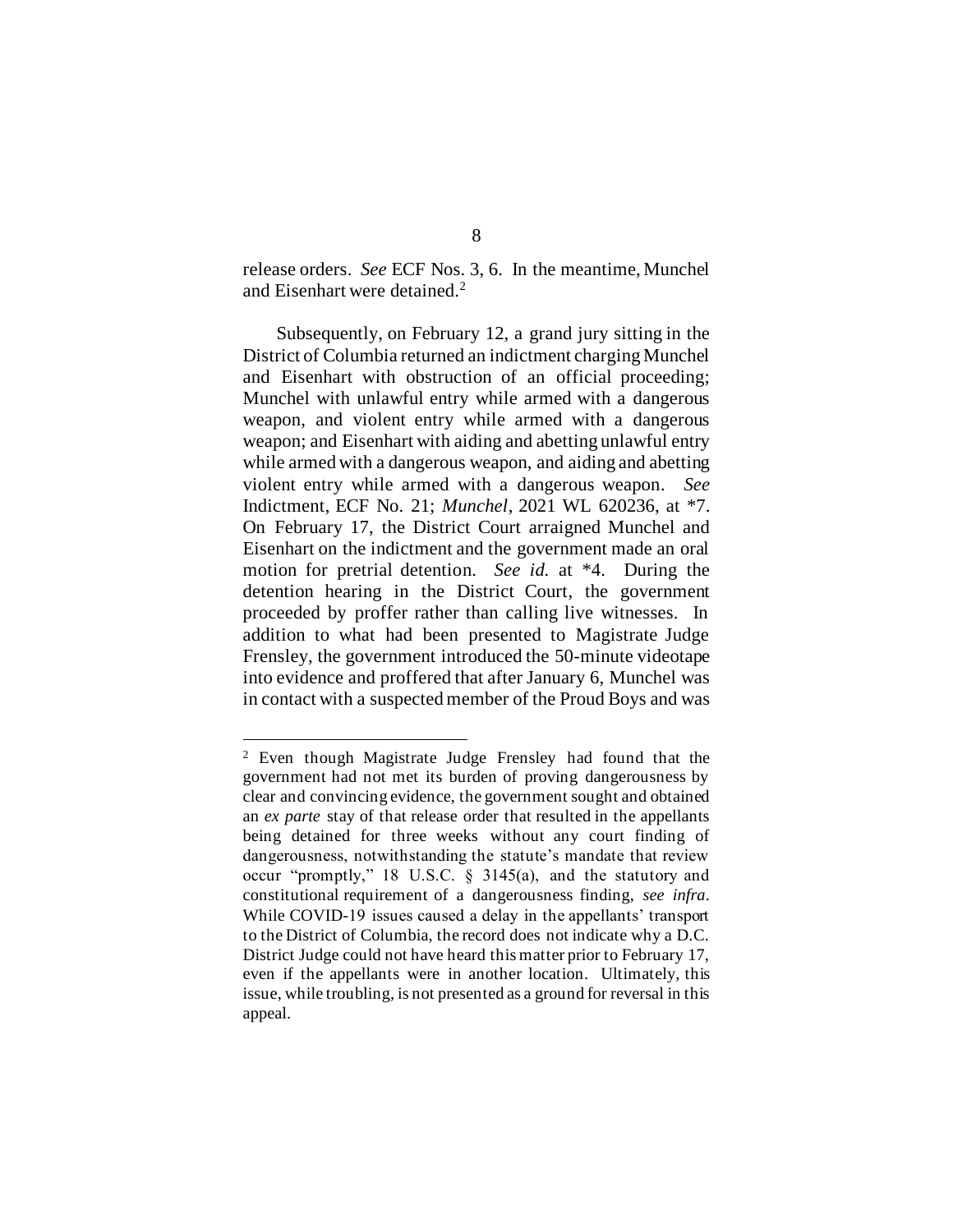release orders. *See* ECF Nos. 3, 6. In the meantime, Munchel and Eisenhart were detained.<sup>2</sup>

Subsequently, on February 12, a grand jury sitting in the District of Columbia returned an indictment charging Munchel and Eisenhart with obstruction of an official proceeding; Munchel with unlawful entry while armed with a dangerous weapon, and violent entry while armed with a dangerous weapon; and Eisenhart with aiding and abetting unlawful entry while armed with a dangerous weapon, and aiding and abetting violent entry while armed with a dangerous weapon. *See* Indictment, ECF No. 21; *Munchel*, 2021 WL 620236, at \*7. On February 17, the District Court arraigned Munchel and Eisenhart on the indictment and the government made an oral motion for pretrial detention. *See id.* at \*4. During the detention hearing in the District Court, the government proceeded by proffer rather than calling live witnesses. In addition to what had been presented to Magistrate Judge Frensley, the government introduced the 50-minute videotape into evidence and proffered that after January 6, Munchel was in contact with a suspected member of the Proud Boys and was

<sup>2</sup> Even though Magistrate Judge Frensley had found that the government had not met its burden of proving dangerousness by clear and convincing evidence, the government sought and obtained an *ex parte* stay of that release order that resulted in the appellants being detained for three weeks without any court finding of dangerousness, notwithstanding the statute's mandate that review occur "promptly," 18 U.S.C. § 3145(a), and the statutory and constitutional requirement of a dangerousness finding, *see infra*. While COVID-19 issues caused a delay in the appellants' transport to the District of Columbia, the record does not indicate why a D.C. District Judge could not have heard this matter prior to February 17, even if the appellants were in another location. Ultimately, this issue, while troubling, is not presented as a ground for reversal in this appeal.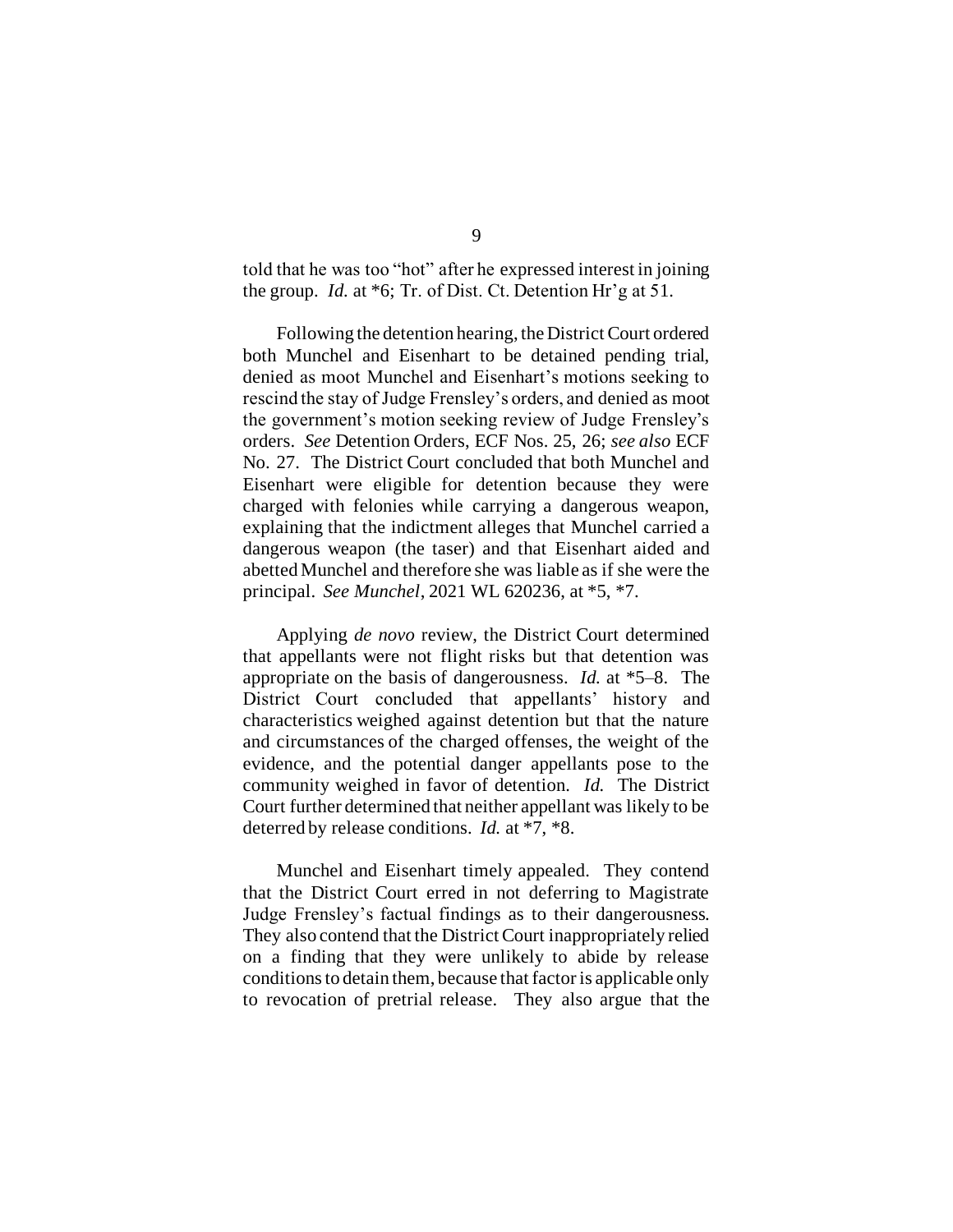told that he was too "hot" after he expressed interest in joining the group. *Id.* at \*6; Tr. of Dist. Ct. Detention Hr'g at 51.

Following the detention hearing, the District Court ordered both Munchel and Eisenhart to be detained pending trial, denied as moot Munchel and Eisenhart's motions seeking to rescind the stay of Judge Frensley's orders, and denied as moot the government's motion seeking review of Judge Frensley's orders. *See* Detention Orders, ECF Nos. 25, 26; *see also* ECF No. 27. The District Court concluded that both Munchel and Eisenhart were eligible for detention because they were charged with felonies while carrying a dangerous weapon, explaining that the indictment alleges that Munchel carried a dangerous weapon (the taser) and that Eisenhart aided and abetted Munchel and therefore she was liable as if she were the principal. *See Munchel*, 2021 WL 620236, at \*5, \*7.

Applying *de novo* review, the District Court determined that appellants were not flight risks but that detention was appropriate on the basis of dangerousness. *Id.* at \*5–8. The District Court concluded that appellants' history and characteristics weighed against detention but that the nature and circumstances of the charged offenses, the weight of the evidence, and the potential danger appellants pose to the community weighed in favor of detention. *Id.* The District Court further determined that neither appellant was likely to be deterred by release conditions. *Id.* at \*7, \*8.

Munchel and Eisenhart timely appealed. They contend that the District Court erred in not deferring to Magistrate Judge Frensley's factual findings as to their dangerousness. They also contend that the District Court inappropriately relied on a finding that they were unlikely to abide by release conditions to detain them, because that factor is applicable only to revocation of pretrial release. They also argue that the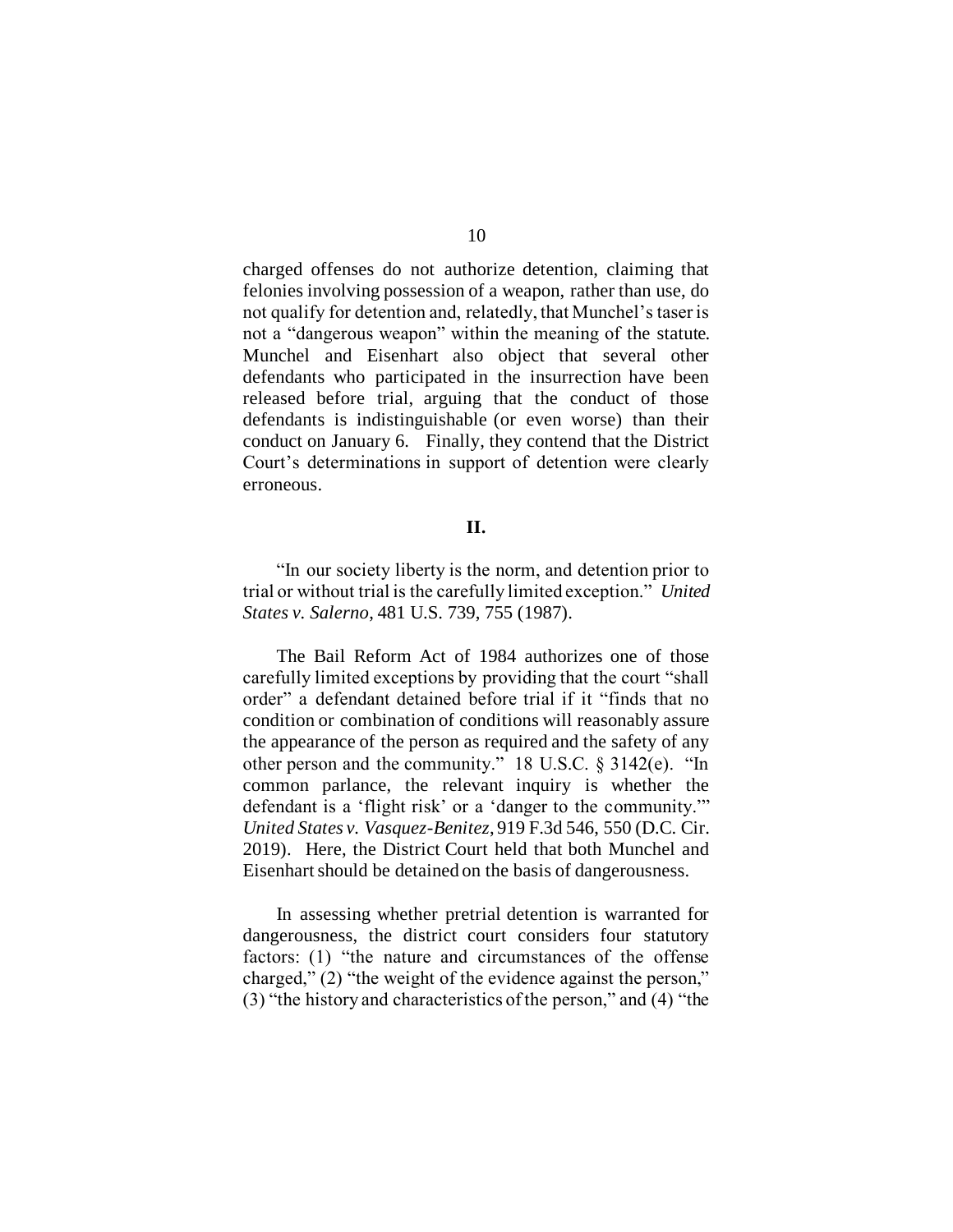charged offenses do not authorize detention, claiming that felonies involving possession of a weapon, rather than use, do not qualify for detention and, relatedly, that Munchel's taser is not a "dangerous weapon" within the meaning of the statute. Munchel and Eisenhart also object that several other defendants who participated in the insurrection have been released before trial, arguing that the conduct of those defendants is indistinguishable (or even worse) than their conduct on January 6. Finally, they contend that the District Court's determinations in support of detention were clearly erroneous.

# **II.**

"In our society liberty is the norm, and detention prior to trial or without trial is the carefully limited exception." *United States v. Salerno*, 481 U.S. 739, 755 (1987).

The Bail Reform Act of 1984 authorizes one of those carefully limited exceptions by providing that the court "shall order" a defendant detained before trial if it "finds that no condition or combination of conditions will reasonably assure the appearance of the person as required and the safety of any other person and the community." 18 U.S.C. § 3142(e). "In common parlance, the relevant inquiry is whether the defendant is a 'flight risk' or a 'danger to the community.'" *United States v. Vasquez-Benitez*, 919 F.3d 546, 550 (D.C. Cir. 2019). Here, the District Court held that both Munchel and Eisenhart should be detained on the basis of dangerousness.

In assessing whether pretrial detention is warranted for dangerousness, the district court considers four statutory factors: (1) "the nature and circumstances of the offense charged," (2) "the weight of the evidence against the person," (3) "the history and characteristics of the person," and (4) "the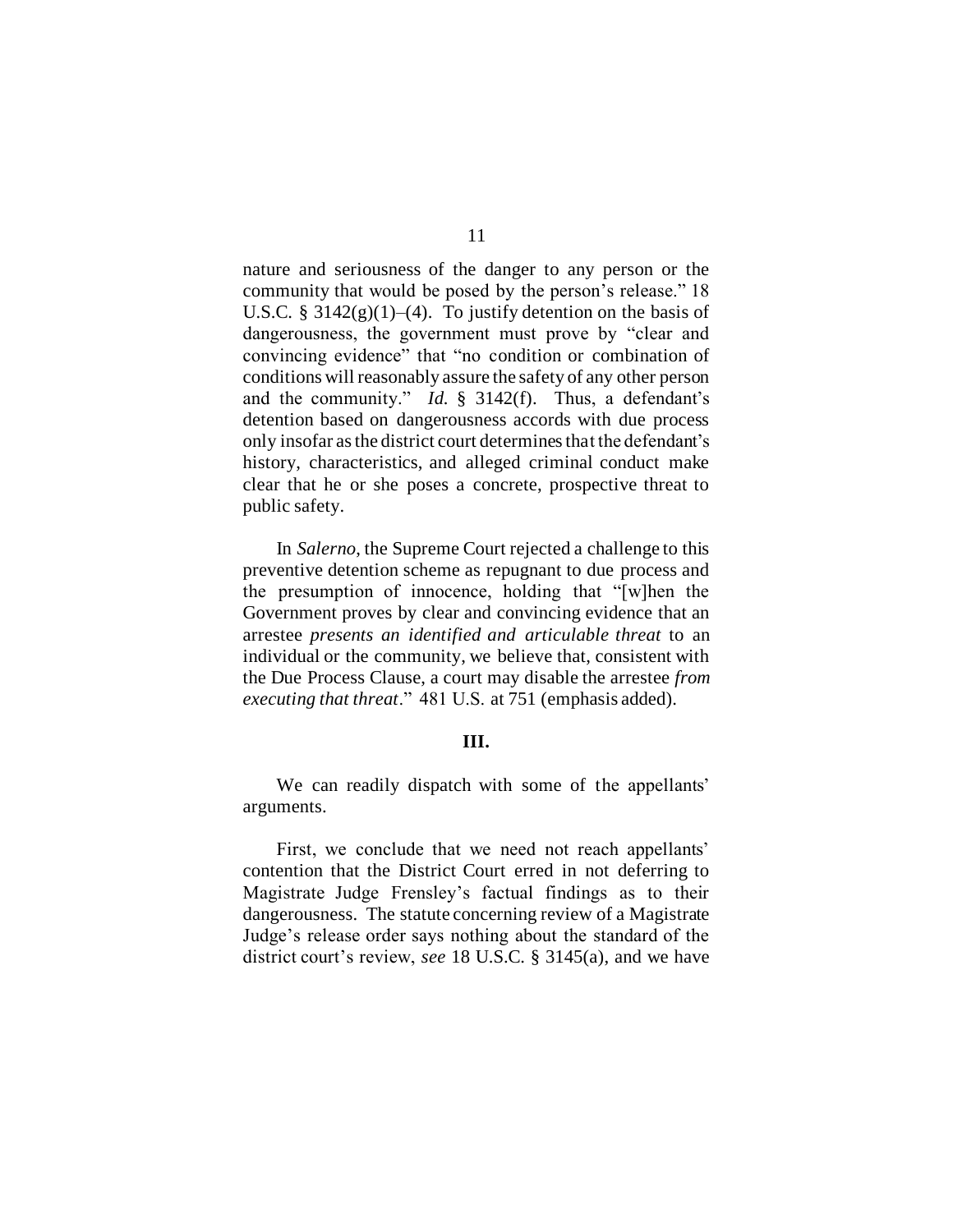nature and seriousness of the danger to any person or the community that would be posed by the person's release." 18 U.S.C. §  $3142(g)(1)–(4)$ . To justify detention on the basis of dangerousness, the government must prove by "clear and convincing evidence" that "no condition or combination of conditions will reasonably assure the safety of any other person and the community." *Id.* § 3142(f). Thus, a defendant's detention based on dangerousness accords with due process only insofar as the district court determines that the defendant's history, characteristics, and alleged criminal conduct make clear that he or she poses a concrete, prospective threat to public safety.

In *Salerno*, the Supreme Court rejected a challenge to this preventive detention scheme as repugnant to due process and the presumption of innocence, holding that "[w]hen the Government proves by clear and convincing evidence that an arrestee *presents an identified and articulable threat* to an individual or the community, we believe that, consistent with the Due Process Clause, a court may disable the arrestee *from executing that threat*." 481 U.S. at 751 (emphasis added).

#### **III.**

We can readily dispatch with some of the appellants' arguments.

First, we conclude that we need not reach appellants' contention that the District Court erred in not deferring to Magistrate Judge Frensley's factual findings as to their dangerousness. The statute concerning review of a Magistrate Judge's release order says nothing about the standard of the district court's review, *see* 18 U.S.C. § 3145(a), and we have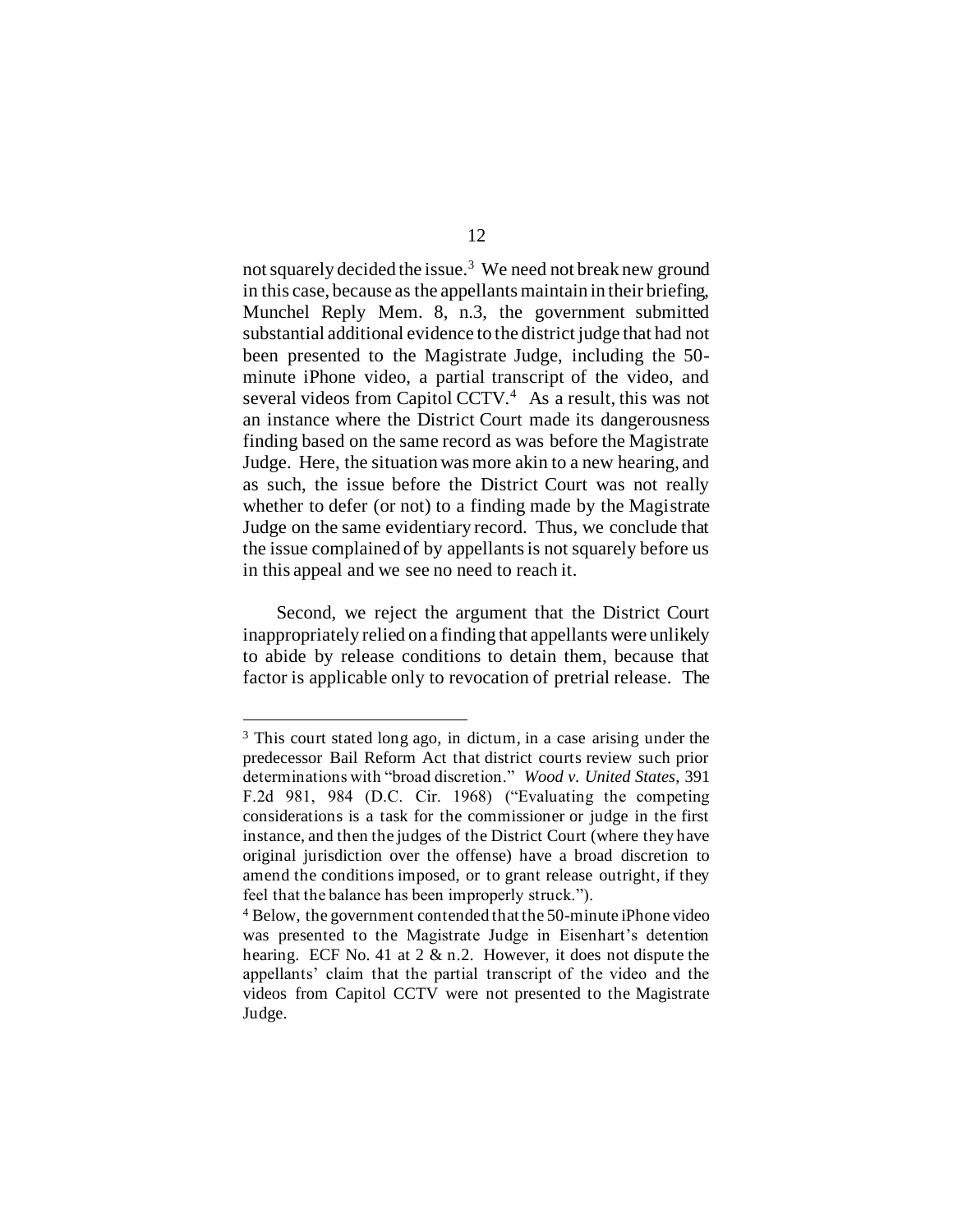not squarely decided the issue.<sup>3</sup> We need not break new ground in this case, because as the appellants maintain in their briefing, Munchel Reply Mem. 8, n.3, the government submitted substantial additional evidence to the district judge that had not been presented to the Magistrate Judge, including the 50 minute iPhone video, a partial transcript of the video, and several videos from Capitol CCTV.<sup>4</sup> As a result, this was not an instance where the District Court made its dangerousness finding based on the same record as was before the Magistrate Judge. Here, the situation was more akin to a new hearing, and as such, the issue before the District Court was not really whether to defer (or not) to a finding made by the Magistrate Judge on the same evidentiary record. Thus, we conclude that the issue complained of by appellants is not squarely before us in this appeal and we see no need to reach it.

Second, we reject the argument that the District Court inappropriately relied on a finding that appellants were unlikely to abide by release conditions to detain them, because that factor is applicable only to revocation of pretrial release. The

<sup>3</sup> This court stated long ago, in dictum, in a case arising under the predecessor Bail Reform Act that district courts review such prior determinations with "broad discretion." *Wood v. United States*, 391 F.2d 981, 984 (D.C. Cir. 1968) ("Evaluating the competing considerations is a task for the commissioner or judge in the first instance, and then the judges of the District Court (where they have original jurisdiction over the offense) have a broad discretion to amend the conditions imposed, or to grant release outright, if they feel that the balance has been improperly struck.").

<sup>4</sup> Below, the government contended that the 50-minute iPhone video was presented to the Magistrate Judge in Eisenhart's detention hearing. ECF No. 41 at 2 & n.2. However, it does not dispute the appellants' claim that the partial transcript of the video and the videos from Capitol CCTV were not presented to the Magistrate Judge.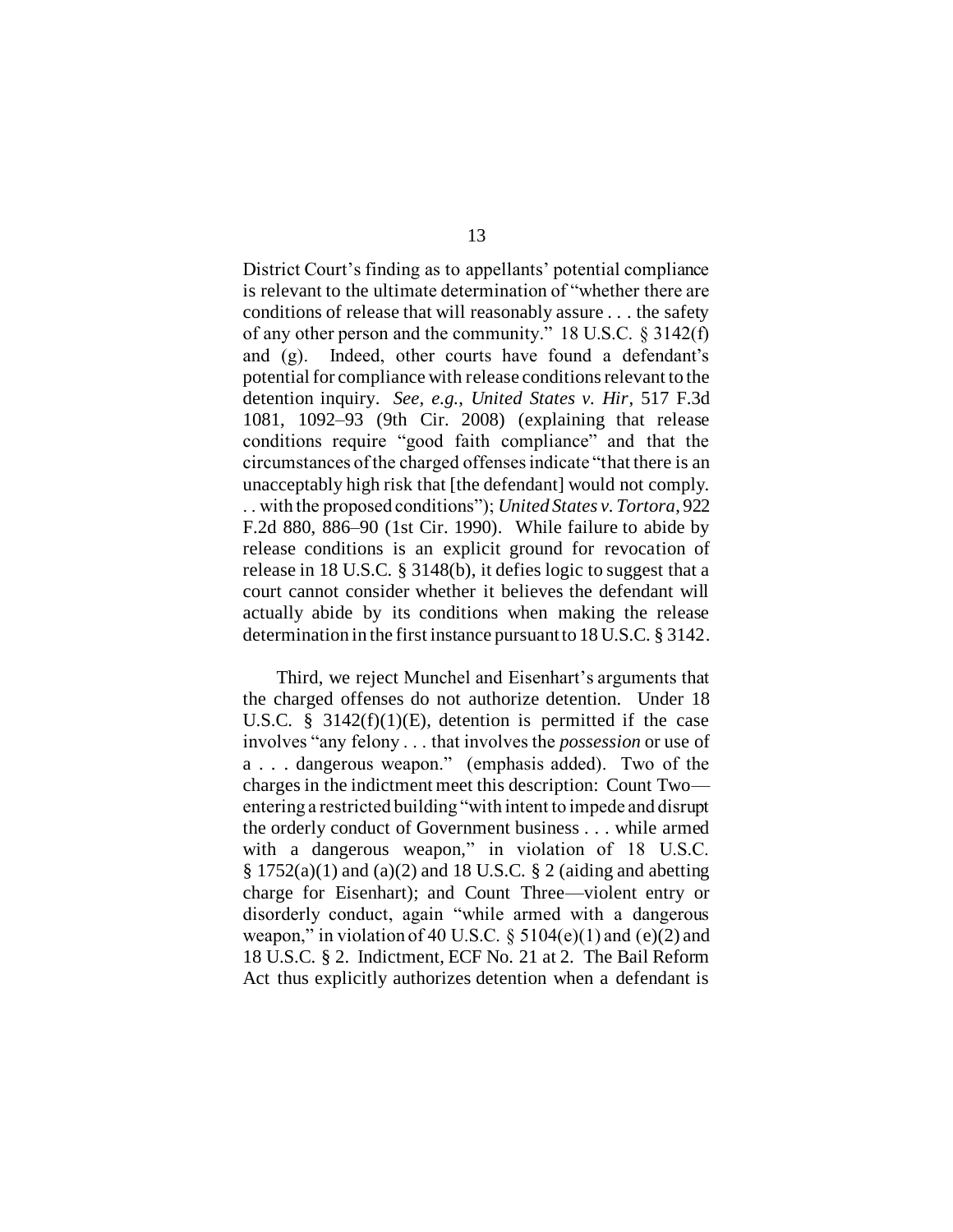District Court's finding as to appellants' potential compliance is relevant to the ultimate determination of "whether there are conditions of release that will reasonably assure . . . the safety of any other person and the community." 18 U.S.C. § 3142(f) and (g). Indeed, other courts have found a defendant's potential for compliance with release conditions relevant to the detention inquiry. *See, e.g.*, *United States v. Hir*, 517 F.3d 1081, 1092–93 (9th Cir. 2008) (explaining that release conditions require "good faith compliance" and that the circumstances of the charged offenses indicate "that there is an unacceptably high risk that [the defendant] would not comply. . . with the proposed conditions"); *United States v. Tortora*, 922 F.2d 880, 886–90 (1st Cir. 1990). While failure to abide by release conditions is an explicit ground for revocation of release in 18 U.S.C. § 3148(b), it defies logic to suggest that a court cannot consider whether it believes the defendant will actually abide by its conditions when making the release determination in the first instance pursuant to 18 U.S.C. § 3142.

Third, we reject Munchel and Eisenhart's arguments that the charged offenses do not authorize detention. Under 18 U.S.C.  $\S$  3142(f)(1)(E), detention is permitted if the case involves "any felony . . . that involves the *possession* or use of a . . . dangerous weapon." (emphasis added). Two of the charges in the indictment meet this description: Count Two entering a restricted building "with intent to impede and disrupt the orderly conduct of Government business . . . while armed with a dangerous weapon," in violation of 18 U.S.C.  $\S 1752(a)(1)$  and (a)(2) and 18 U.S.C.  $\S 2$  (aiding and abetting charge for Eisenhart); and Count Three—violent entry or disorderly conduct, again "while armed with a dangerous weapon," in violation of 40 U.S.C.  $\S$  5104(e)(1) and (e)(2) and 18 U.S.C. § 2. Indictment, ECF No. 21 at 2. The Bail Reform Act thus explicitly authorizes detention when a defendant is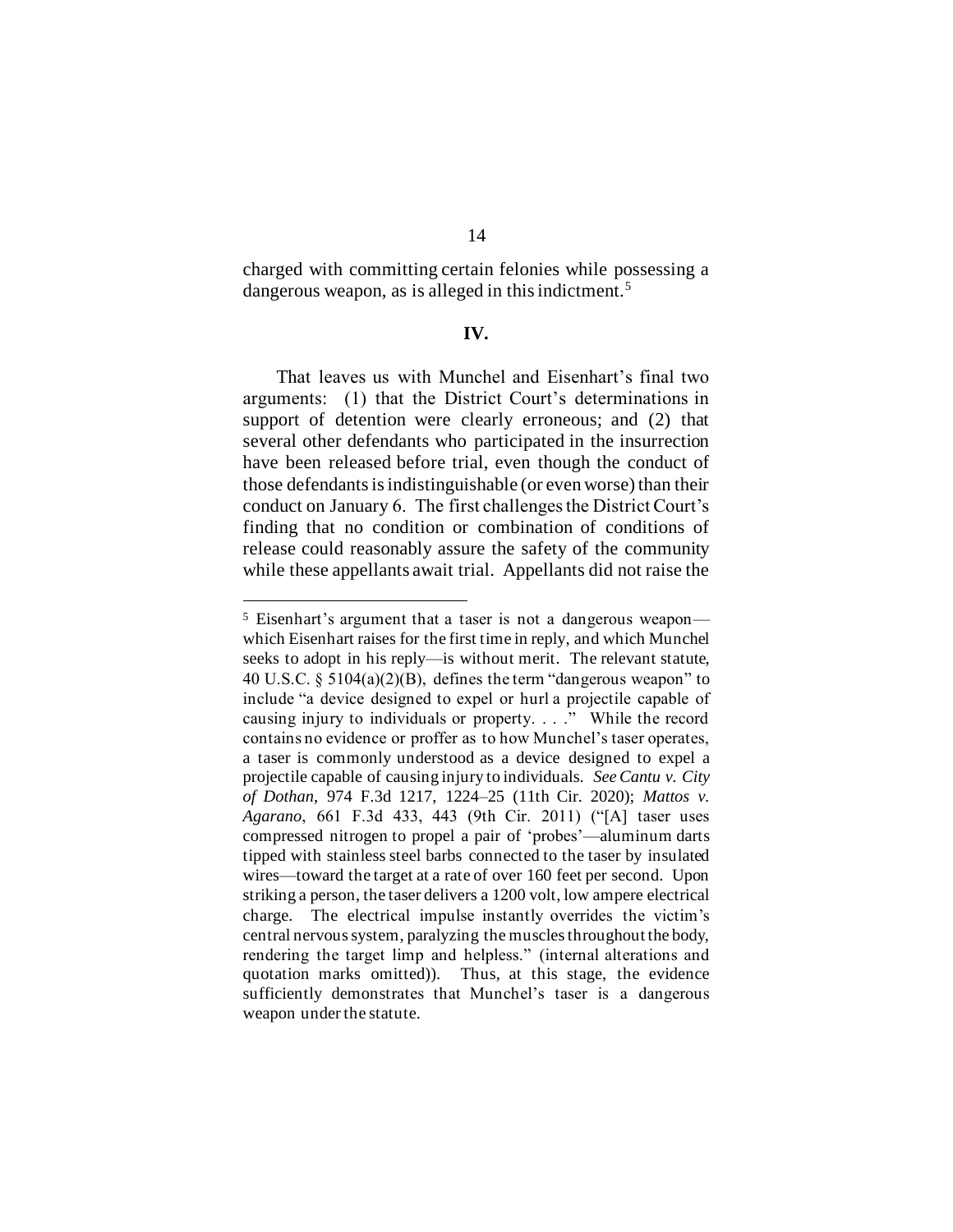charged with committing certain felonies while possessing a dangerous weapon, as is alleged in this indictment.<sup>5</sup>

## **IV.**

That leaves us with Munchel and Eisenhart's final two arguments: (1) that the District Court's determinations in support of detention were clearly erroneous; and  $(2)$  that several other defendants who participated in the insurrection have been released before trial, even though the conduct of those defendants is indistinguishable (or even worse) than their conduct on January 6. The first challenges the District Court's finding that no condition or combination of conditions of release could reasonably assure the safety of the community while these appellants await trial. Appellants did not raise the

<sup>5</sup> Eisenhart's argument that a taser is not a dangerous weapon which Eisenhart raises for the first time in reply, and which Munchel seeks to adopt in his reply—is without merit. The relevant statute, 40 U.S.C. § 5104(a)(2)(B), defines the term "dangerous weapon" to include "a device designed to expel or hurl a projectile capable of causing injury to individuals or property. . . ." While the record contains no evidence or proffer as to how Munchel's taser operates, a taser is commonly understood as a device designed to expel a projectile capable of causing injury to individuals. *See Cantu v. City of Dothan*, 974 F.3d 1217, 1224–25 (11th Cir. 2020); *Mattos v. Agarano*, 661 F.3d 433, 443 (9th Cir. 2011) ("[A] taser uses compressed nitrogen to propel a pair of 'probes'—aluminum darts tipped with stainless steel barbs connected to the taser by insulated wires—toward the target at a rate of over 160 feet per second. Upon striking a person, the taser delivers a 1200 volt, low ampere electrical charge. The electrical impulse instantly overrides the victim's central nervous system, paralyzing the muscles throughout the body, rendering the target limp and helpless." (internal alterations and quotation marks omitted)). Thus, at this stage, the evidence sufficiently demonstrates that Munchel's taser is a dangerous weapon under the statute.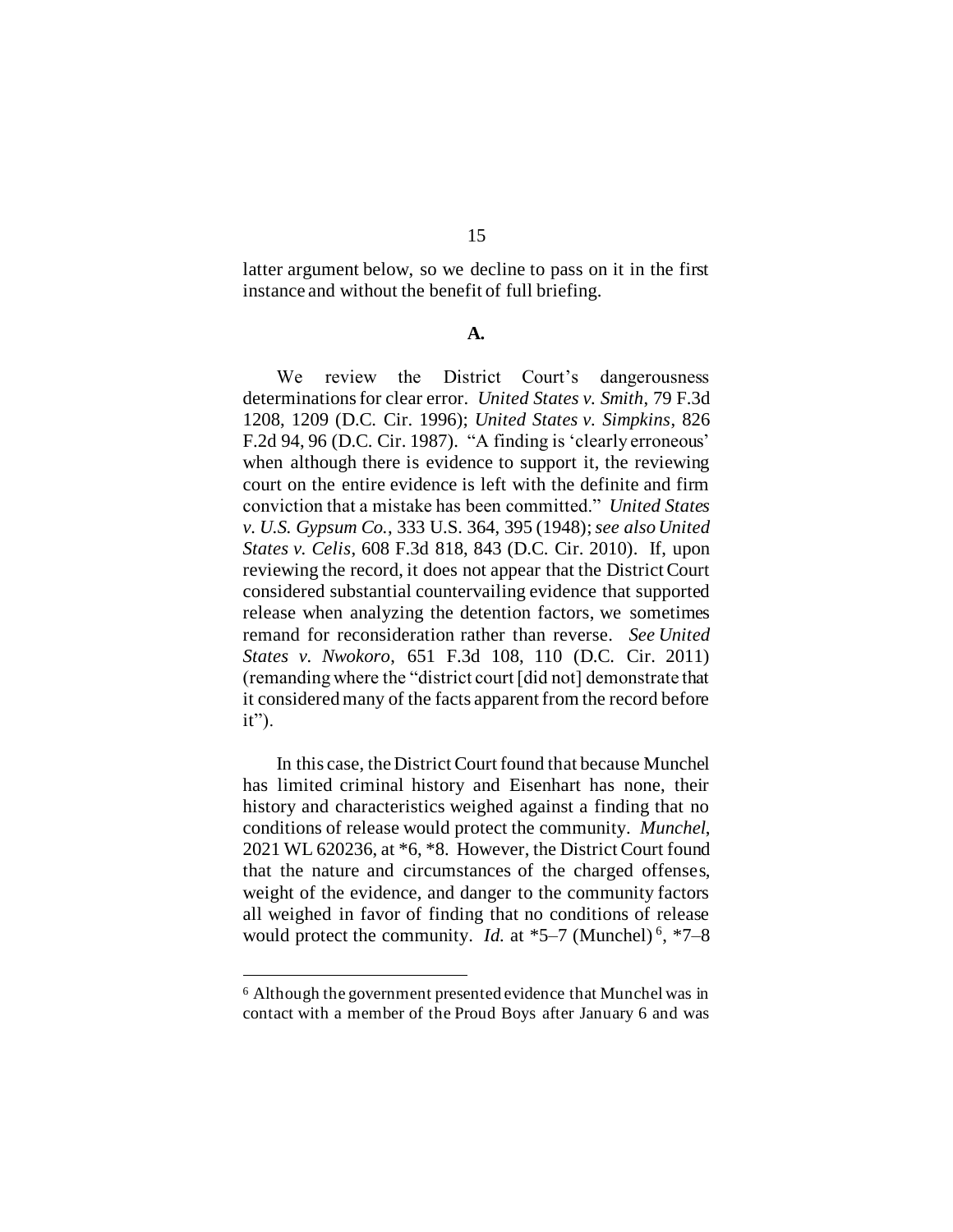latter argument below, so we decline to pass on it in the first instance and without the benefit of full briefing.

## **A.**

We review the District Court's dangerousness determinations for clear error. *United States v. Smith*, 79 F.3d 1208, 1209 (D.C. Cir. 1996); *United States v. Simpkins*, 826 F.2d 94, 96 (D.C. Cir. 1987). "A finding is 'clearly erroneous' when although there is evidence to support it, the reviewing court on the entire evidence is left with the definite and firm conviction that a mistake has been committed." *United States v. U.S. Gypsum Co.*, 333 U.S. 364, 395 (1948); *see also United States v. Celis*, 608 F.3d 818, 843 (D.C. Cir. 2010). If, upon reviewing the record, it does not appear that the District Court considered substantial countervailing evidence that supported release when analyzing the detention factors, we sometimes remand for reconsideration rather than reverse. *See United States v. Nwokoro*, 651 F.3d 108, 110 (D.C. Cir. 2011) (remanding where the "district court [did not] demonstrate that it considered many of the facts apparent from the record before it").

In this case, the District Court found that because Munchel has limited criminal history and Eisenhart has none, their history and characteristics weighed against a finding that no conditions of release would protect the community. *Munchel*, 2021 WL 620236, at \*6, \*8. However, the District Court found that the nature and circumstances of the charged offenses, weight of the evidence, and danger to the community factors all weighed in favor of finding that no conditions of release would protect the community. *Id.* at \*5–7 (Munchel)<sup>6</sup>, \*7–8

<sup>6</sup> Although the government presented evidence that Munchel was in contact with a member of the Proud Boys after January 6 and was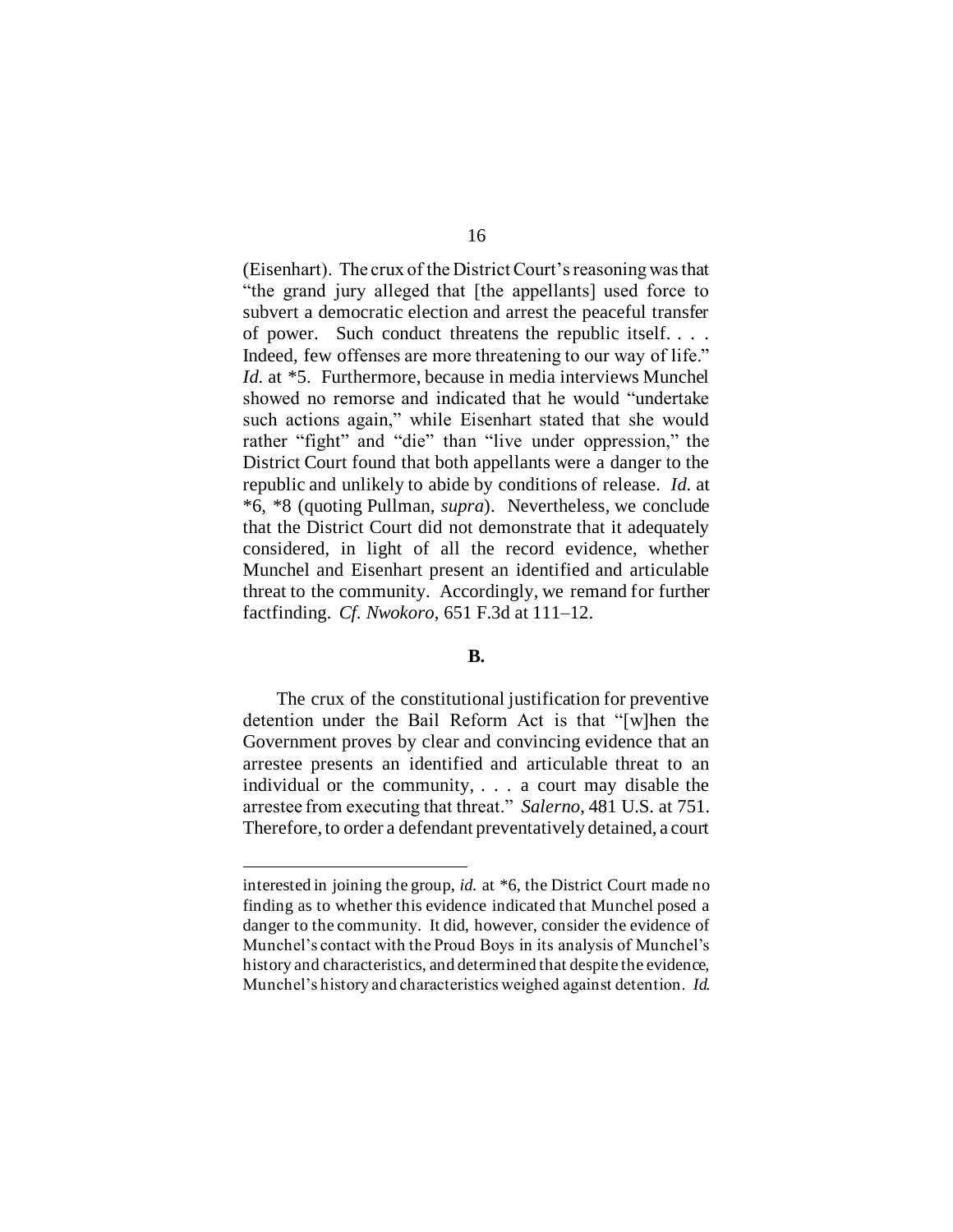(Eisenhart). The crux of the District Court's reasoning was that "the grand jury alleged that [the appellants] used force to subvert a democratic election and arrest the peaceful transfer of power. Such conduct threatens the republic itself. . . . Indeed, few offenses are more threatening to our way of life." *Id.* at \*5. Furthermore, because in media interviews Munchel showed no remorse and indicated that he would "undertake such actions again," while Eisenhart stated that she would rather "fight" and "die" than "live under oppression," the District Court found that both appellants were a danger to the republic and unlikely to abide by conditions of release. *Id.* at \*6, \*8 (quoting Pullman, *supra*). Nevertheless, we conclude that the District Court did not demonstrate that it adequately considered, in light of all the record evidence, whether Munchel and Eisenhart present an identified and articulable threat to the community. Accordingly, we remand for further factfinding. *Cf. Nwokoro*, 651 F.3d at 111–12.

# **B.**

The crux of the constitutional justification for preventive detention under the Bail Reform Act is that "[w]hen the Government proves by clear and convincing evidence that an arrestee presents an identified and articulable threat to an individual or the community, . . . a court may disable the arrestee from executing that threat." *Salerno*, 481 U.S. at 751. Therefore, to order a defendant preventatively detained, a court

interested in joining the group, *id.* at \*6, the District Court made no finding as to whether this evidence indicated that Munchel posed a danger to the community. It did, however, consider the evidence of Munchel's contact with the Proud Boys in its analysis of Munchel's history and characteristics, and determined that despite the evidence, Munchel's history and characteristics weighed against detention. *Id.*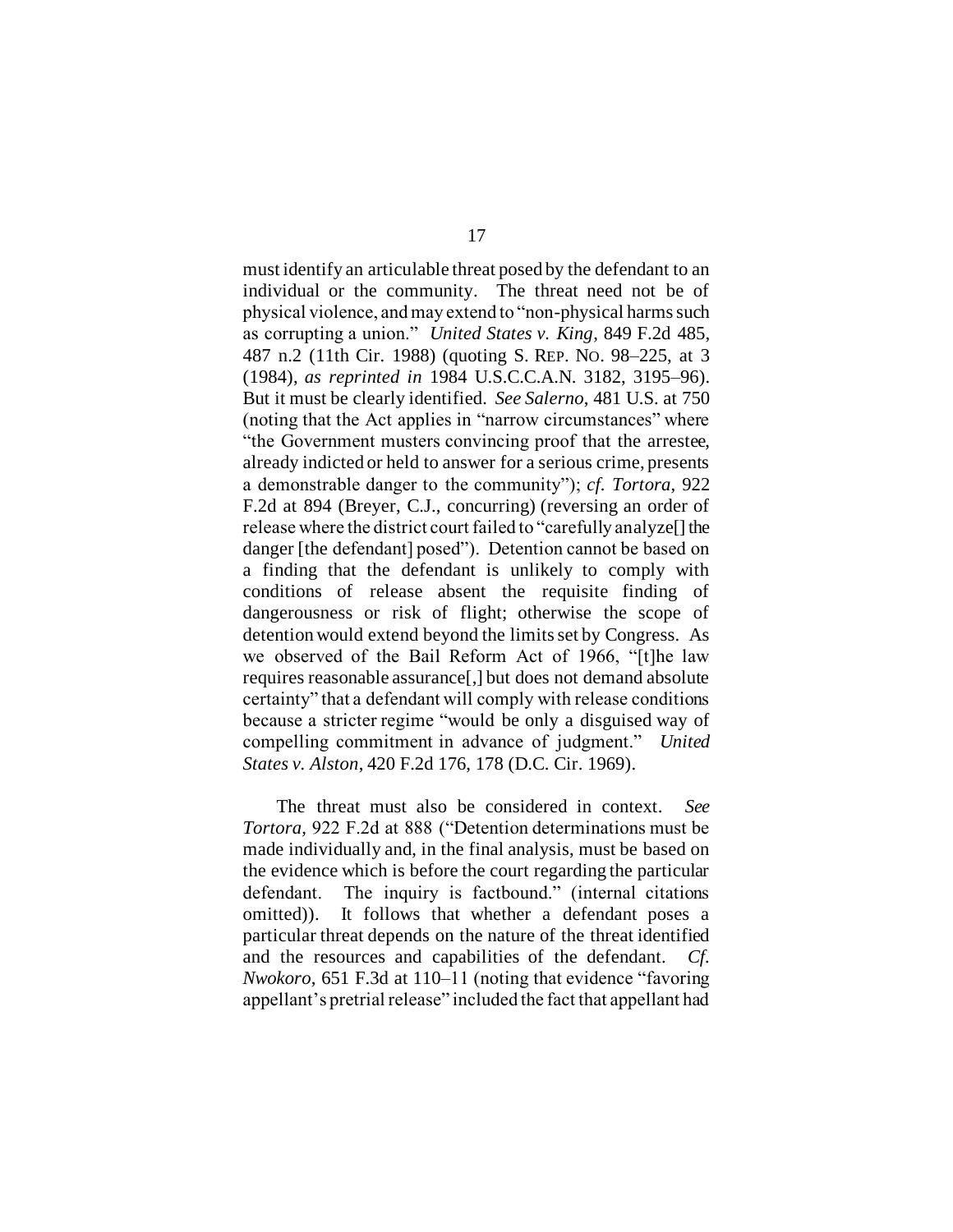must identify an articulable threat posed by the defendant to an individual or the community. The threat need not be of physical violence, and may extend to "non-physical harms such as corrupting a union." *United States v. King*, 849 F.2d 485, 487 n.2 (11th Cir. 1988) (quoting S. REP. NO. 98–225, at 3 (1984), *as reprinted in* 1984 U.S.C.C.A.N. 3182, 3195–96). But it must be clearly identified. *See Salerno*, 481 U.S. at 750 (noting that the Act applies in "narrow circumstances" where "the Government musters convincing proof that the arrestee, already indicted or held to answer for a serious crime, presents a demonstrable danger to the community"); *cf. Tortora*, 922 F.2d at 894 (Breyer, C.J., concurring) (reversing an order of release where the district court failed to "carefully analyze[] the danger [the defendant] posed"). Detention cannot be based on a finding that the defendant is unlikely to comply with conditions of release absent the requisite finding of dangerousness or risk of flight; otherwise the scope of detention would extend beyond the limits set by Congress. As we observed of the Bail Reform Act of 1966, "[t]he law requires reasonable assurance[,] but does not demand absolute certainty" that a defendant will comply with release conditions because a stricter regime "would be only a disguised way of compelling commitment in advance of judgment." *United States v. Alston*, 420 F.2d 176, 178 (D.C. Cir. 1969).

The threat must also be considered in context. *See Tortora,* 922 F.2d at 888 ("Detention determinations must be made individually and, in the final analysis, must be based on the evidence which is before the court regarding the particular defendant. The inquiry is factbound." (internal citations omitted)). It follows that whether a defendant poses a particular threat depends on the nature of the threat identified and the resources and capabilities of the defendant. *Cf. Nwokoro*, 651 F.3d at 110–11 (noting that evidence "favoring appellant's pretrial release" included the fact that appellant had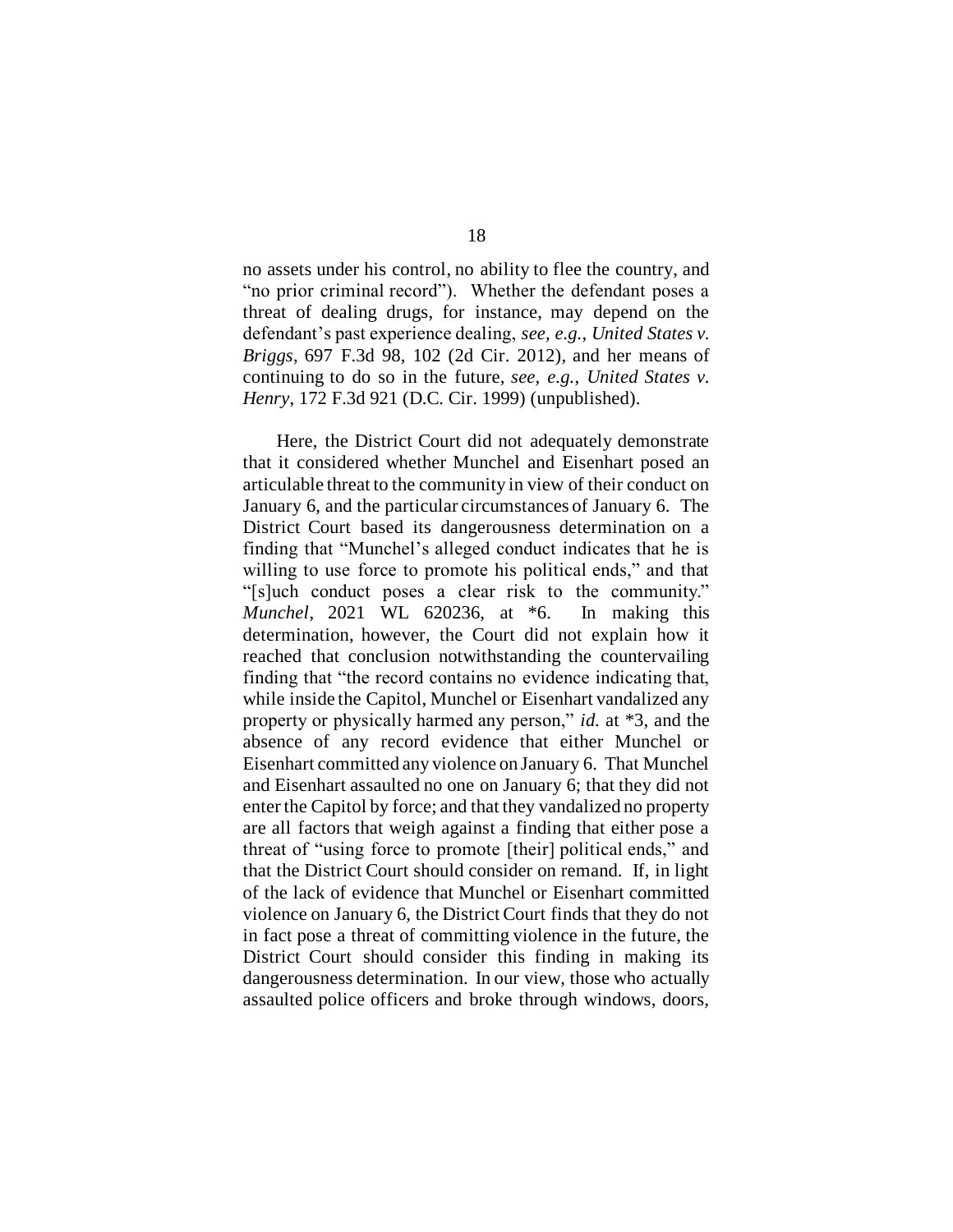no assets under his control, no ability to flee the country, and "no prior criminal record"). Whether the defendant poses a threat of dealing drugs, for instance, may depend on the defendant's past experience dealing, *see, e.g.*, *United States v. Briggs*, 697 F.3d 98, 102 (2d Cir. 2012), and her means of continuing to do so in the future, *see, e.g.*, *United States v. Henry*, 172 F.3d 921 (D.C. Cir. 1999) (unpublished).

Here, the District Court did not adequately demonstrate that it considered whether Munchel and Eisenhart posed an articulable threat to the community in view of their conduct on January 6, and the particular circumstances of January 6. The District Court based its dangerousness determination on a finding that "Munchel's alleged conduct indicates that he is willing to use force to promote his political ends," and that "[s]uch conduct poses a clear risk to the community." *Munchel*, 2021 WL 620236, at \*6. In making this determination, however, the Court did not explain how it reached that conclusion notwithstanding the countervailing finding that "the record contains no evidence indicating that, while inside the Capitol, Munchel or Eisenhart vandalized any property or physically harmed any person," *id.* at \*3, and the absence of any record evidence that either Munchel or Eisenhart committed any violence on January 6. That Munchel and Eisenhart assaulted no one on January 6; that they did not enter the Capitol by force; and that they vandalized no property are all factors that weigh against a finding that either pose a threat of "using force to promote [their] political ends," and that the District Court should consider on remand. If, in light of the lack of evidence that Munchel or Eisenhart committed violence on January 6, the District Court finds that they do not in fact pose a threat of committing violence in the future, the District Court should consider this finding in making its dangerousness determination. In our view, those who actually assaulted police officers and broke through windows, doors,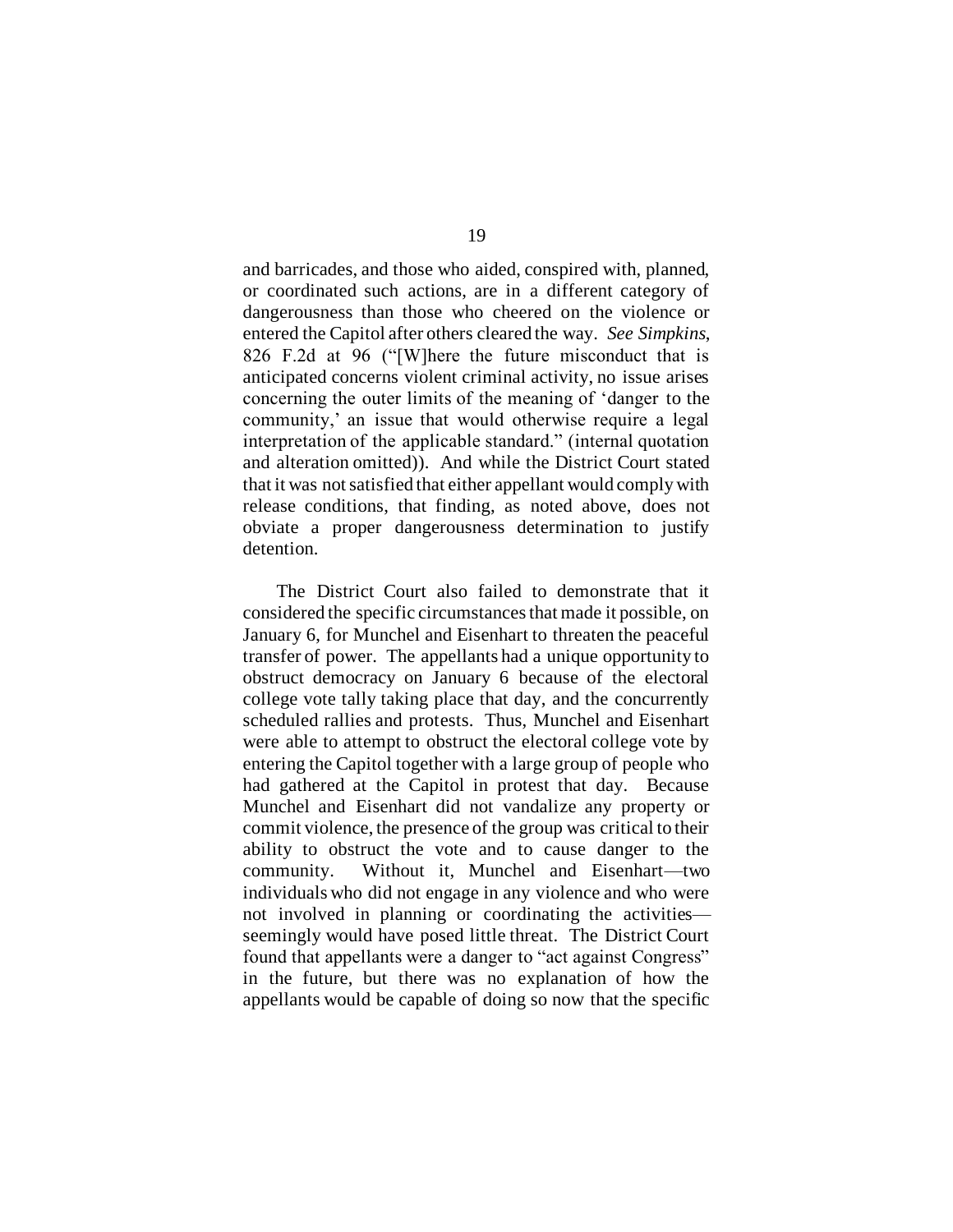and barricades, and those who aided, conspired with, planned, or coordinated such actions, are in a different category of dangerousness than those who cheered on the violence or entered the Capitol after others cleared the way. *See Simpkins*, 826 F.2d at 96 ("[W]here the future misconduct that is anticipated concerns violent criminal activity, no issue arises concerning the outer limits of the meaning of 'danger to the community,' an issue that would otherwise require a legal interpretation of the applicable standard." (internal quotation and alteration omitted)). And while the District Court stated that it was not satisfied that either appellant would comply with release conditions, that finding, as noted above, does not obviate a proper dangerousness determination to justify detention.

The District Court also failed to demonstrate that it considered the specific circumstances that made it possible, on January 6, for Munchel and Eisenhart to threaten the peaceful transfer of power. The appellants had a unique opportunity to obstruct democracy on January 6 because of the electoral college vote tally taking place that day, and the concurrently scheduled rallies and protests. Thus, Munchel and Eisenhart were able to attempt to obstruct the electoral college vote by entering the Capitol together with a large group of people who had gathered at the Capitol in protest that day. Because Munchel and Eisenhart did not vandalize any property or commit violence, the presence of the group was critical to their ability to obstruct the vote and to cause danger to the community. Without it, Munchel and Eisenhart—two individuals who did not engage in any violence and who were not involved in planning or coordinating the activities seemingly would have posed little threat. The District Court found that appellants were a danger to "act against Congress" in the future, but there was no explanation of how the appellants would be capable of doing so now that the specific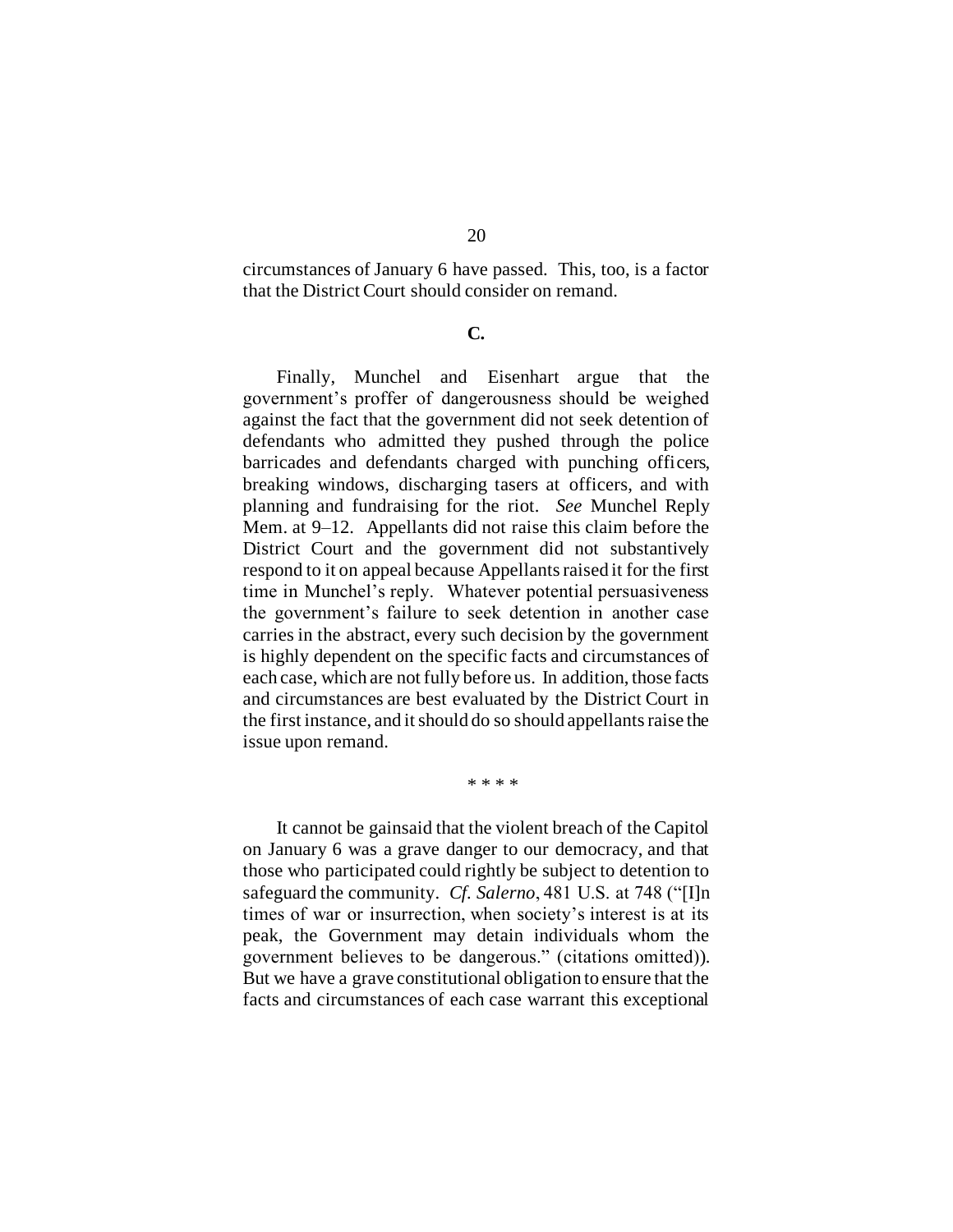circumstances of January 6 have passed. This, too, is a factor that the District Court should consider on remand.

### **C.**

Finally, Munchel and Eisenhart argue that the government's proffer of dangerousness should be weighed against the fact that the government did not seek detention of defendants who admitted they pushed through the police barricades and defendants charged with punching officers, breaking windows, discharging tasers at officers, and with planning and fundraising for the riot. *See* Munchel Reply Mem. at 9–12. Appellants did not raise this claim before the District Court and the government did not substantively respond to it on appeal because Appellants raised it for the first time in Munchel's reply. Whatever potential persuasiveness the government's failure to seek detention in another case carries in the abstract, every such decision by the government is highly dependent on the specific facts and circumstances of each case, which are not fully before us. In addition, those facts and circumstances are best evaluated by the District Court in the first instance, and it should do so should appellants raise the issue upon remand.

\* \* \* \*

It cannot be gainsaid that the violent breach of the Capitol on January 6 was a grave danger to our democracy, and that those who participated could rightly be subject to detention to safeguard the community. *Cf. Salerno*, 481 U.S. at 748 ("[I]n times of war or insurrection, when society's interest is at its peak, the Government may detain individuals whom the government believes to be dangerous." (citations omitted)). But we have a grave constitutional obligation to ensure that the facts and circumstances of each case warrant this exceptional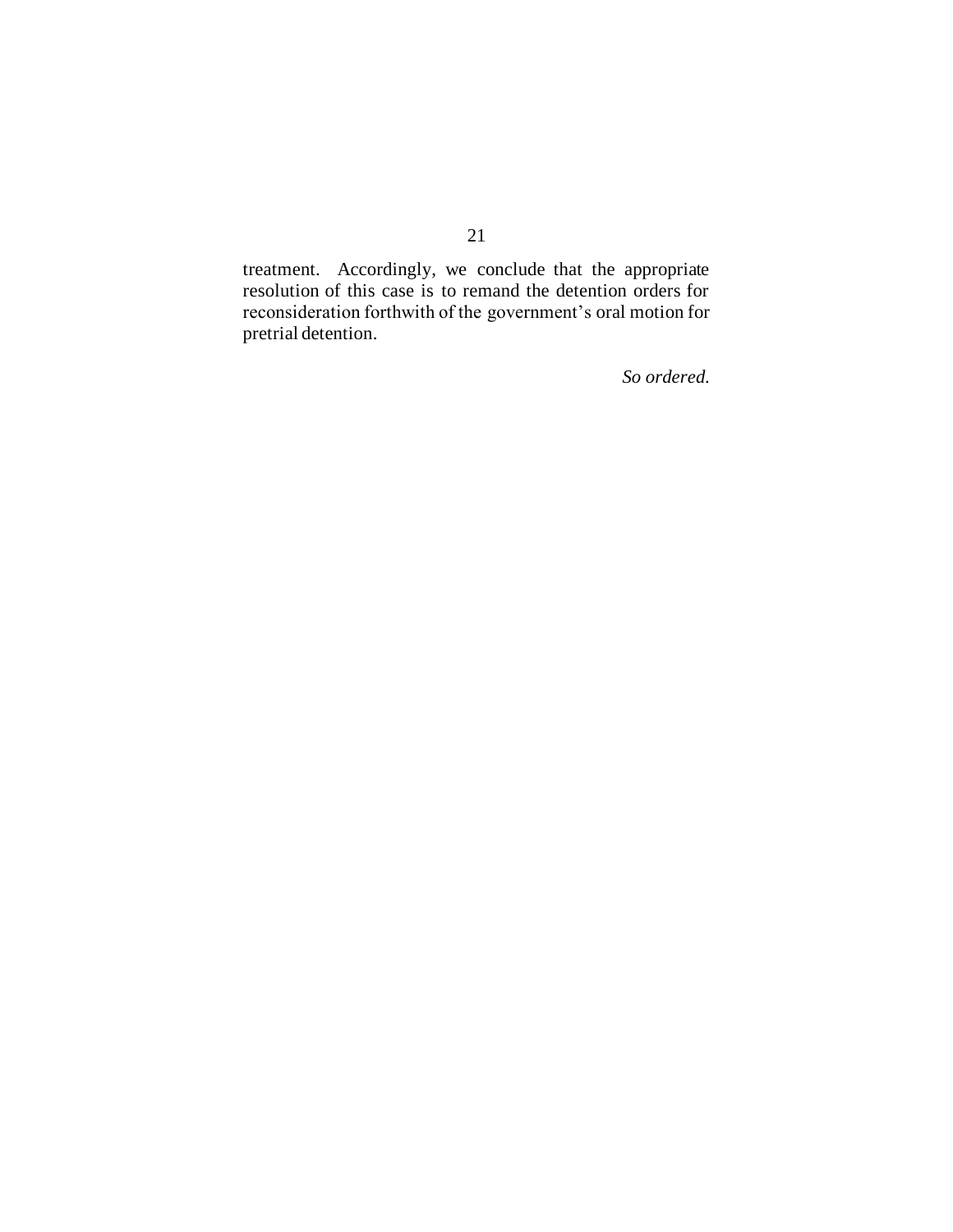treatment. Accordingly, we conclude that the appropriate resolution of this case is to remand the detention orders for reconsideration forthwith of the government's oral motion for pretrial detention.

*So ordered.*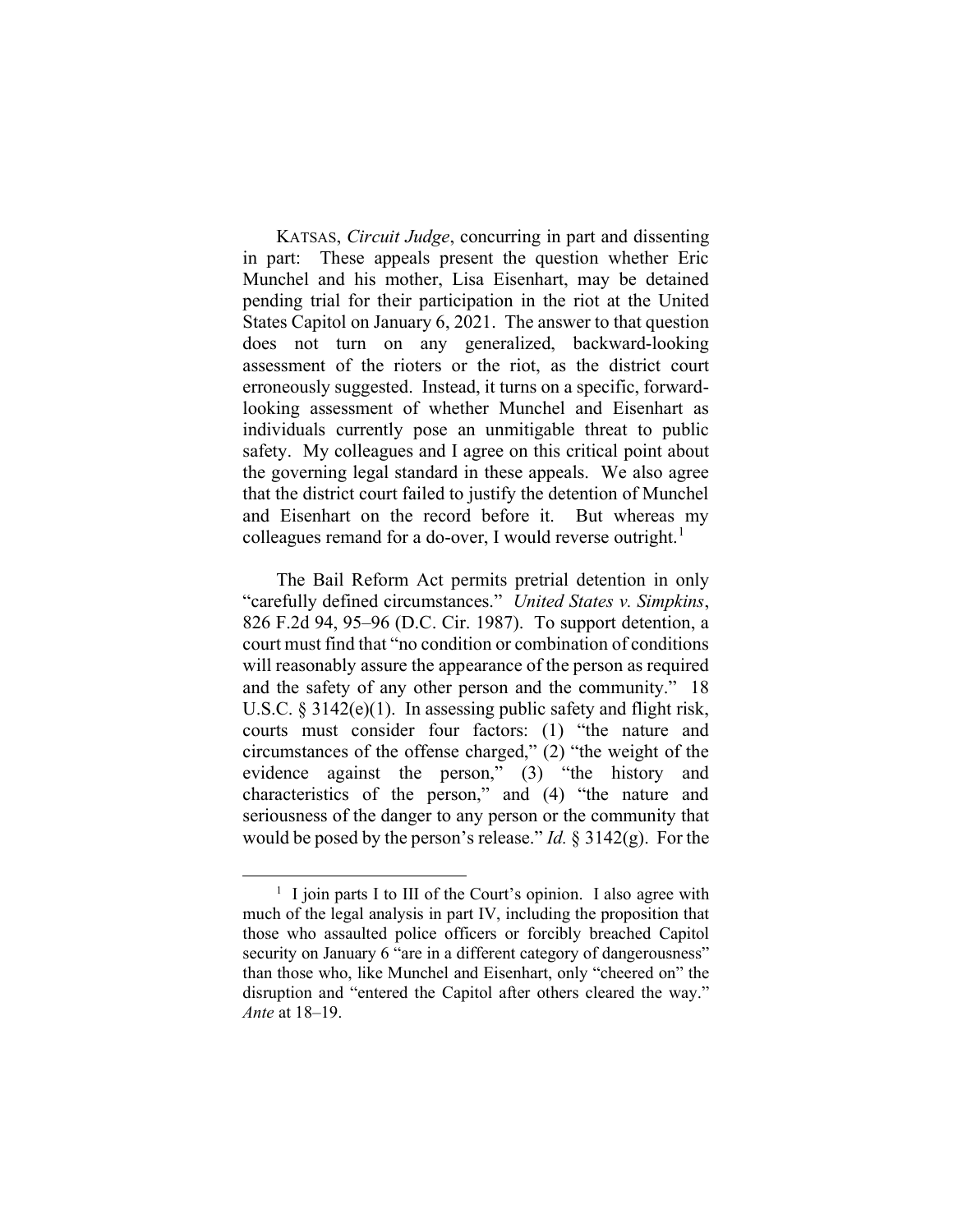KATSAS, Circuit Judge, concurring in part and dissenting in part: These appeals present the question whether Eric Munchel and his mother, Lisa Eisenhart, may be detained pending trial for their participation in the riot at the United States Capitol on January 6, 2021. The answer to that question does not turn on any generalized, backward-looking assessment of the rioters or the riot, as the district court erroneously suggested. Instead, it turns on a specific, forwardlooking assessment of whether Munchel and Eisenhart as individuals currently pose an unmitigable threat to public safety. My colleagues and I agree on this critical point about the governing legal standard in these appeals. We also agree that the district court failed to justify the detention of Munchel and Eisenhart on the record before it. But whereas my colleagues remand for a do-over, I would reverse outright.<sup>1</sup>

 The Bail Reform Act permits pretrial detention in only "carefully defined circumstances." United States v. Simpkins, 826 F.2d 94, 95–96 (D.C. Cir. 1987). To support detention, a court must find that "no condition or combination of conditions will reasonably assure the appearance of the person as required and the safety of any other person and the community." 18 U.S.C. § 3142(e)(1). In assessing public safety and flight risk, courts must consider four factors: (1) "the nature and circumstances of the offense charged," (2) "the weight of the evidence against the person," (3) "the history and characteristics of the person," and (4) "the nature and seriousness of the danger to any person or the community that would be posed by the person's release." Id.  $\S 3142(g)$ . For the

<sup>&</sup>lt;sup>1</sup> I join parts I to III of the Court's opinion. I also agree with much of the legal analysis in part IV, including the proposition that those who assaulted police officers or forcibly breached Capitol security on January 6 "are in a different category of dangerousness" than those who, like Munchel and Eisenhart, only "cheered on" the disruption and "entered the Capitol after others cleared the way." Ante at 18–19.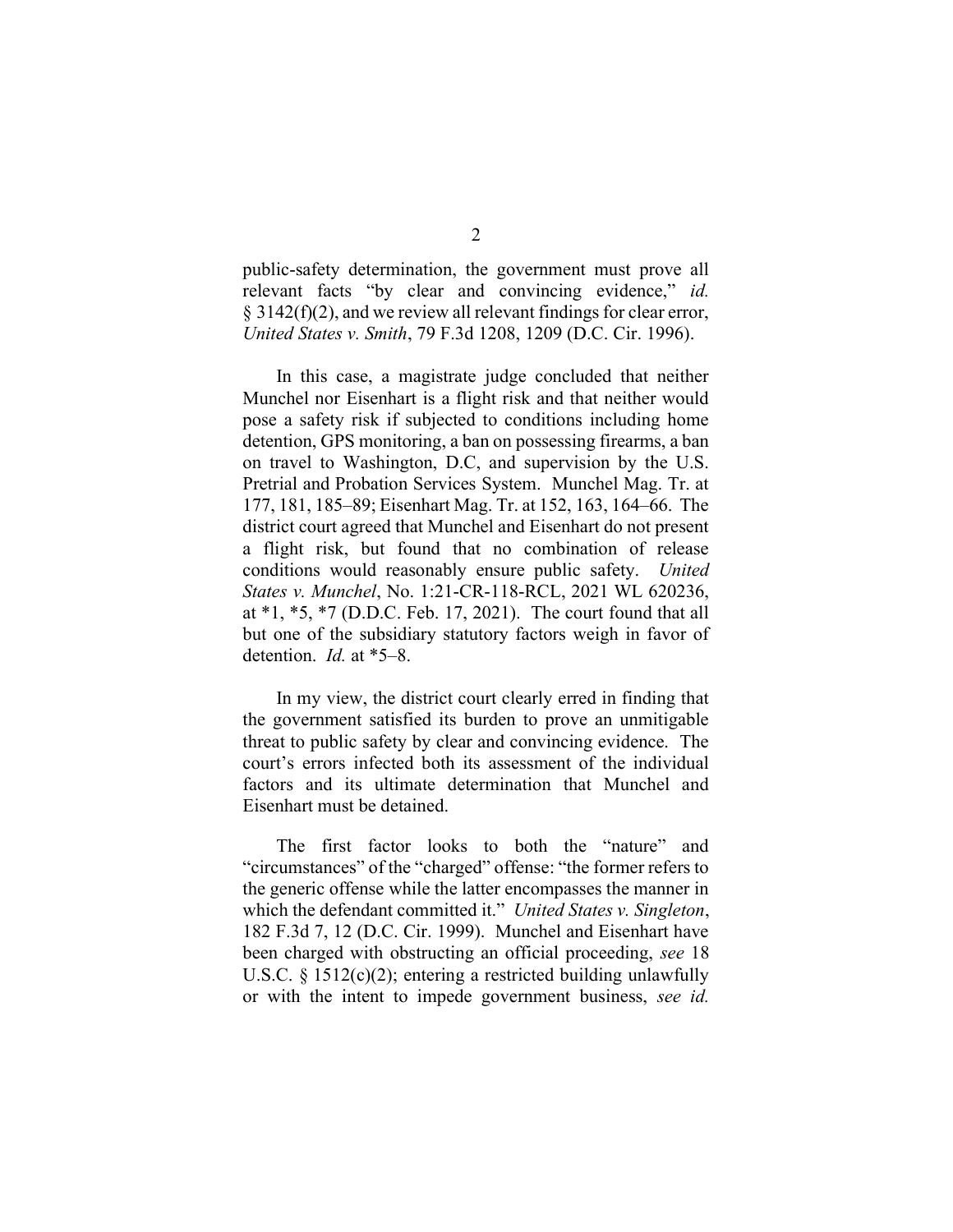public-safety determination, the government must prove all relevant facts "by clear and convincing evidence," id.  $\S$  3142(f)(2), and we review all relevant findings for clear error, United States v. Smith, 79 F.3d 1208, 1209 (D.C. Cir. 1996).

 In this case, a magistrate judge concluded that neither Munchel nor Eisenhart is a flight risk and that neither would pose a safety risk if subjected to conditions including home detention, GPS monitoring, a ban on possessing firearms, a ban on travel to Washington, D.C, and supervision by the U.S. Pretrial and Probation Services System. Munchel Mag. Tr. at 177, 181, 185–89; Eisenhart Mag. Tr. at 152, 163, 164–66. The district court agreed that Munchel and Eisenhart do not present a flight risk, but found that no combination of release conditions would reasonably ensure public safety. United States v. Munchel, No. 1:21-CR-118-RCL, 2021 WL 620236, at \*1, \*5, \*7 (D.D.C. Feb. 17, 2021). The court found that all but one of the subsidiary statutory factors weigh in favor of detention. Id. at \*5–8.

 In my view, the district court clearly erred in finding that the government satisfied its burden to prove an unmitigable threat to public safety by clear and convincing evidence. The court's errors infected both its assessment of the individual factors and its ultimate determination that Munchel and Eisenhart must be detained.

 The first factor looks to both the "nature" and "circumstances" of the "charged" offense: "the former refers to the generic offense while the latter encompasses the manner in which the defendant committed it." United States v. Singleton, 182 F.3d 7, 12 (D.C. Cir. 1999). Munchel and Eisenhart have been charged with obstructing an official proceeding, see 18 U.S.C.  $\S 1512(c)(2)$ ; entering a restricted building unlawfully or with the intent to impede government business, see id.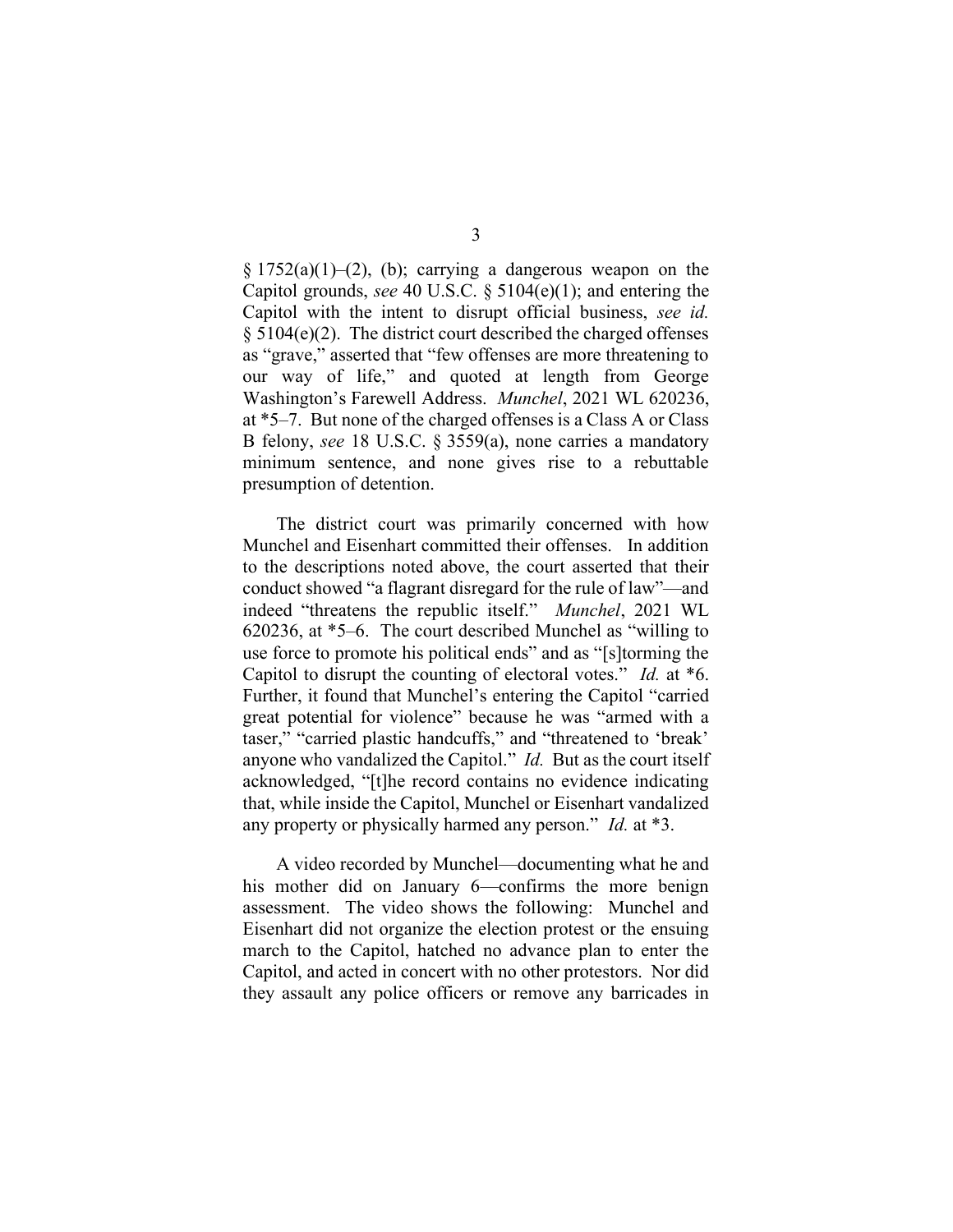$\S 1752(a)(1)–(2)$ , (b); carrying a dangerous weapon on the Capitol grounds, see 40 U.S.C.  $\S$  5104(e)(1); and entering the Capitol with the intent to disrupt official business, see id.  $§ 5104(e)(2)$ . The district court described the charged offenses as "grave," asserted that "few offenses are more threatening to our way of life," and quoted at length from George Washington's Farewell Address. Munchel, 2021 WL 620236, at \*5–7. But none of the charged offenses is a Class A or Class B felony, see 18 U.S.C. § 3559(a), none carries a mandatory minimum sentence, and none gives rise to a rebuttable presumption of detention.

 The district court was primarily concerned with how Munchel and Eisenhart committed their offenses. In addition to the descriptions noted above, the court asserted that their conduct showed "a flagrant disregard for the rule of law"—and indeed "threatens the republic itself." Munchel, 2021 WL 620236, at \*5–6. The court described Munchel as "willing to use force to promote his political ends" and as "[s]torming the Capitol to disrupt the counting of electoral votes." Id. at \*6. Further, it found that Munchel's entering the Capitol "carried great potential for violence" because he was "armed with a taser," "carried plastic handcuffs," and "threatened to 'break' anyone who vandalized the Capitol." *Id.* But as the court itself acknowledged, "[t]he record contains no evidence indicating that, while inside the Capitol, Munchel or Eisenhart vandalized any property or physically harmed any person." Id. at \*3.

 A video recorded by Munchel—documenting what he and his mother did on January 6—confirms the more benign assessment. The video shows the following: Munchel and Eisenhart did not organize the election protest or the ensuing march to the Capitol, hatched no advance plan to enter the Capitol, and acted in concert with no other protestors. Nor did they assault any police officers or remove any barricades in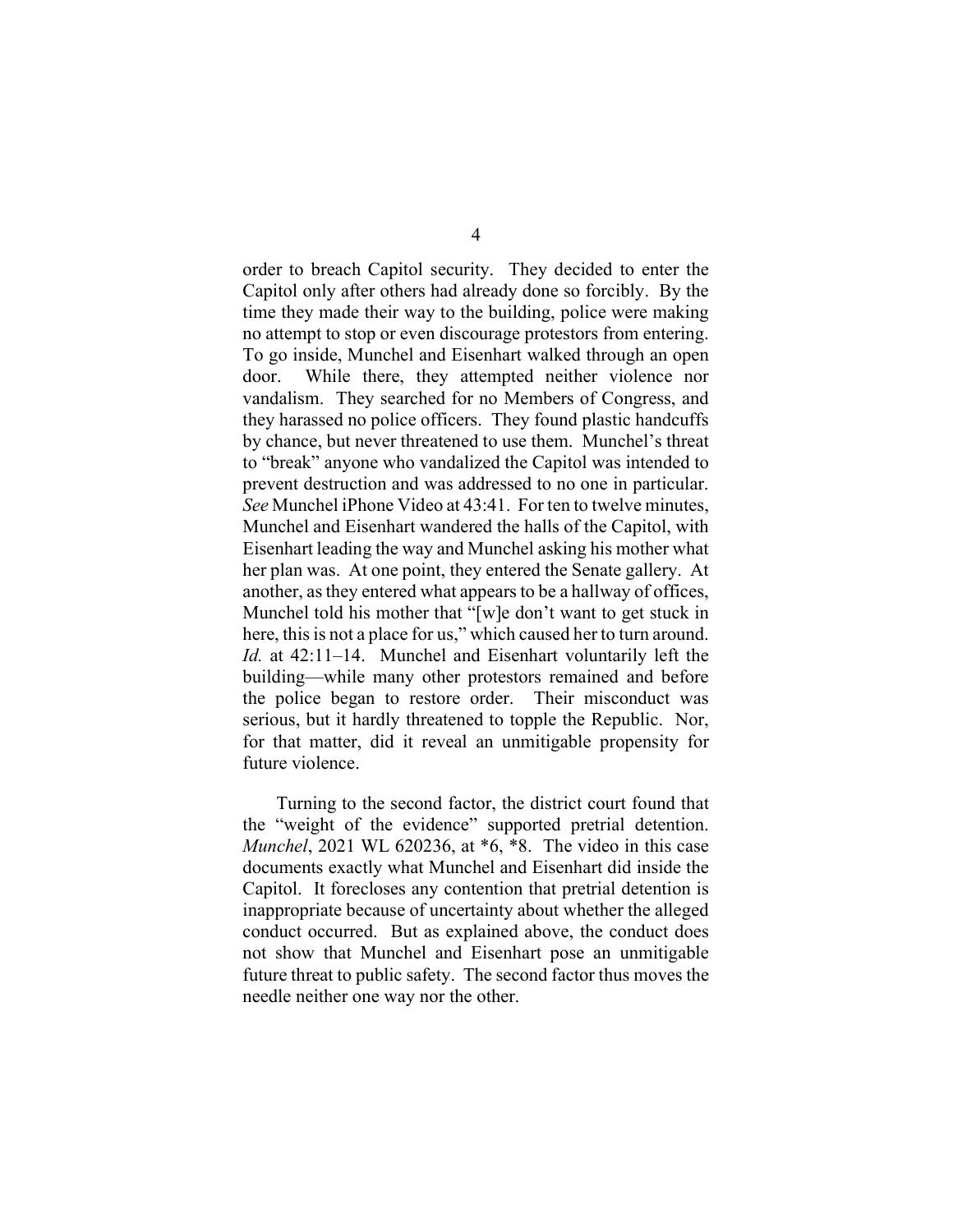order to breach Capitol security. They decided to enter the Capitol only after others had already done so forcibly. By the time they made their way to the building, police were making no attempt to stop or even discourage protestors from entering. To go inside, Munchel and Eisenhart walked through an open door. While there, they attempted neither violence nor vandalism. They searched for no Members of Congress, and they harassed no police officers. They found plastic handcuffs by chance, but never threatened to use them. Munchel's threat to "break" anyone who vandalized the Capitol was intended to prevent destruction and was addressed to no one in particular. See Munchel iPhone Video at 43:41. For ten to twelve minutes, Munchel and Eisenhart wandered the halls of the Capitol, with Eisenhart leading the way and Munchel asking his mother what her plan was. At one point, they entered the Senate gallery. At another, as they entered what appears to be a hallway of offices, Munchel told his mother that "[w]e don't want to get stuck in here, this is not a place for us," which caused her to turn around. Id. at 42:11–14. Munchel and Eisenhart voluntarily left the building—while many other protestors remained and before the police began to restore order. Their misconduct was serious, but it hardly threatened to topple the Republic. Nor, for that matter, did it reveal an unmitigable propensity for future violence.

 Turning to the second factor, the district court found that the "weight of the evidence" supported pretrial detention. Munchel, 2021 WL 620236, at \*6, \*8. The video in this case documents exactly what Munchel and Eisenhart did inside the Capitol. It forecloses any contention that pretrial detention is inappropriate because of uncertainty about whether the alleged conduct occurred. But as explained above, the conduct does not show that Munchel and Eisenhart pose an unmitigable future threat to public safety. The second factor thus moves the needle neither one way nor the other.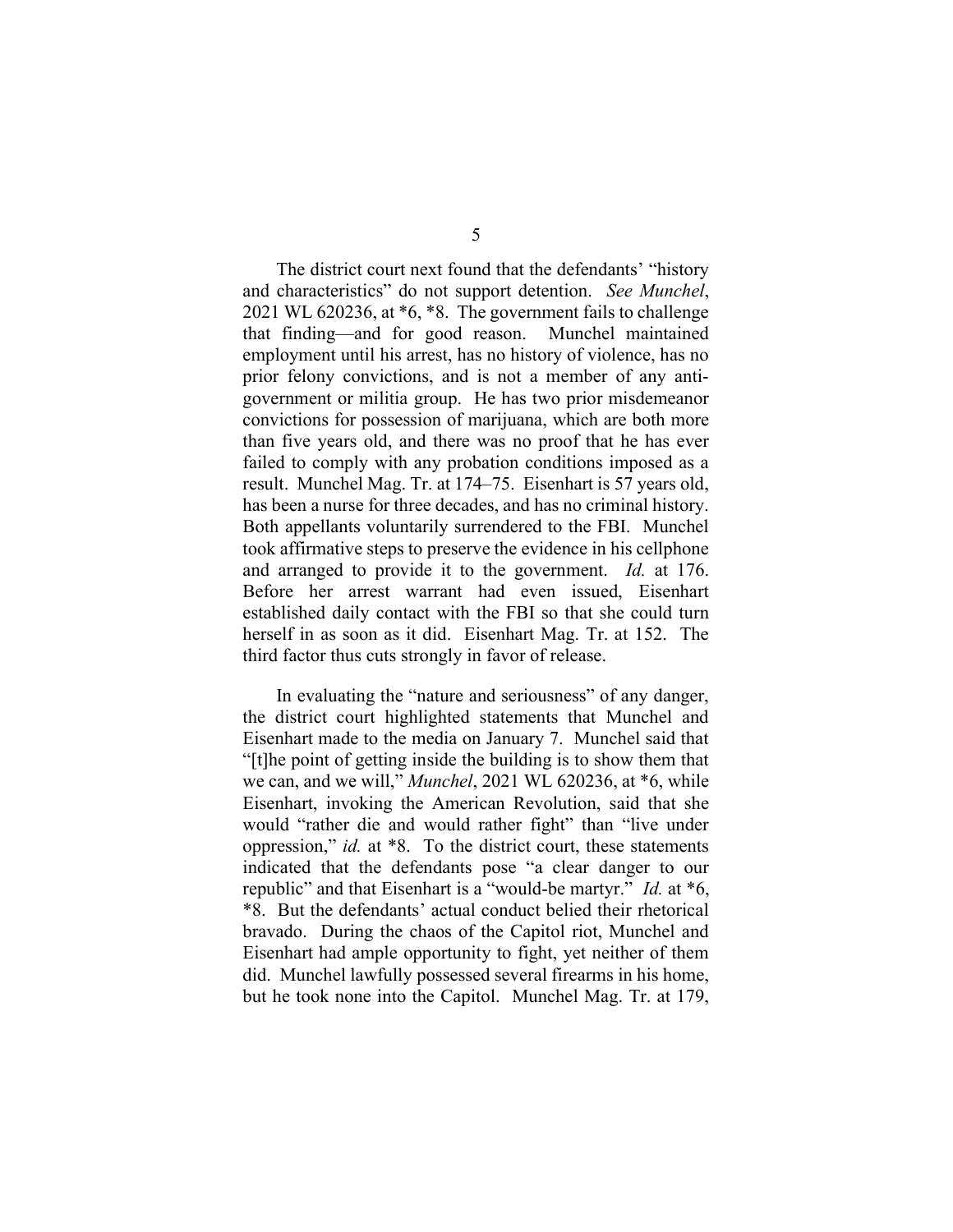The district court next found that the defendants' "history and characteristics" do not support detention. See Munchel, 2021 WL 620236, at \*6, \*8. The government fails to challenge that finding—and for good reason. Munchel maintained employment until his arrest, has no history of violence, has no prior felony convictions, and is not a member of any antigovernment or militia group. He has two prior misdemeanor convictions for possession of marijuana, which are both more than five years old, and there was no proof that he has ever failed to comply with any probation conditions imposed as a result. Munchel Mag. Tr. at 174–75. Eisenhart is 57 years old, has been a nurse for three decades, and has no criminal history. Both appellants voluntarily surrendered to the FBI. Munchel took affirmative steps to preserve the evidence in his cellphone and arranged to provide it to the government. Id. at 176. Before her arrest warrant had even issued, Eisenhart established daily contact with the FBI so that she could turn herself in as soon as it did. Eisenhart Mag. Tr. at 152. The third factor thus cuts strongly in favor of release.

 In evaluating the "nature and seriousness" of any danger, the district court highlighted statements that Munchel and Eisenhart made to the media on January 7. Munchel said that "[t]he point of getting inside the building is to show them that we can, and we will," Munchel, 2021 WL 620236, at \*6, while Eisenhart, invoking the American Revolution, said that she would "rather die and would rather fight" than "live under oppression," id. at \*8. To the district court, these statements indicated that the defendants pose "a clear danger to our republic" and that Eisenhart is a "would-be martyr." Id. at \*6, \*8. But the defendants' actual conduct belied their rhetorical bravado. During the chaos of the Capitol riot, Munchel and Eisenhart had ample opportunity to fight, yet neither of them did. Munchel lawfully possessed several firearms in his home, but he took none into the Capitol. Munchel Mag. Tr. at 179,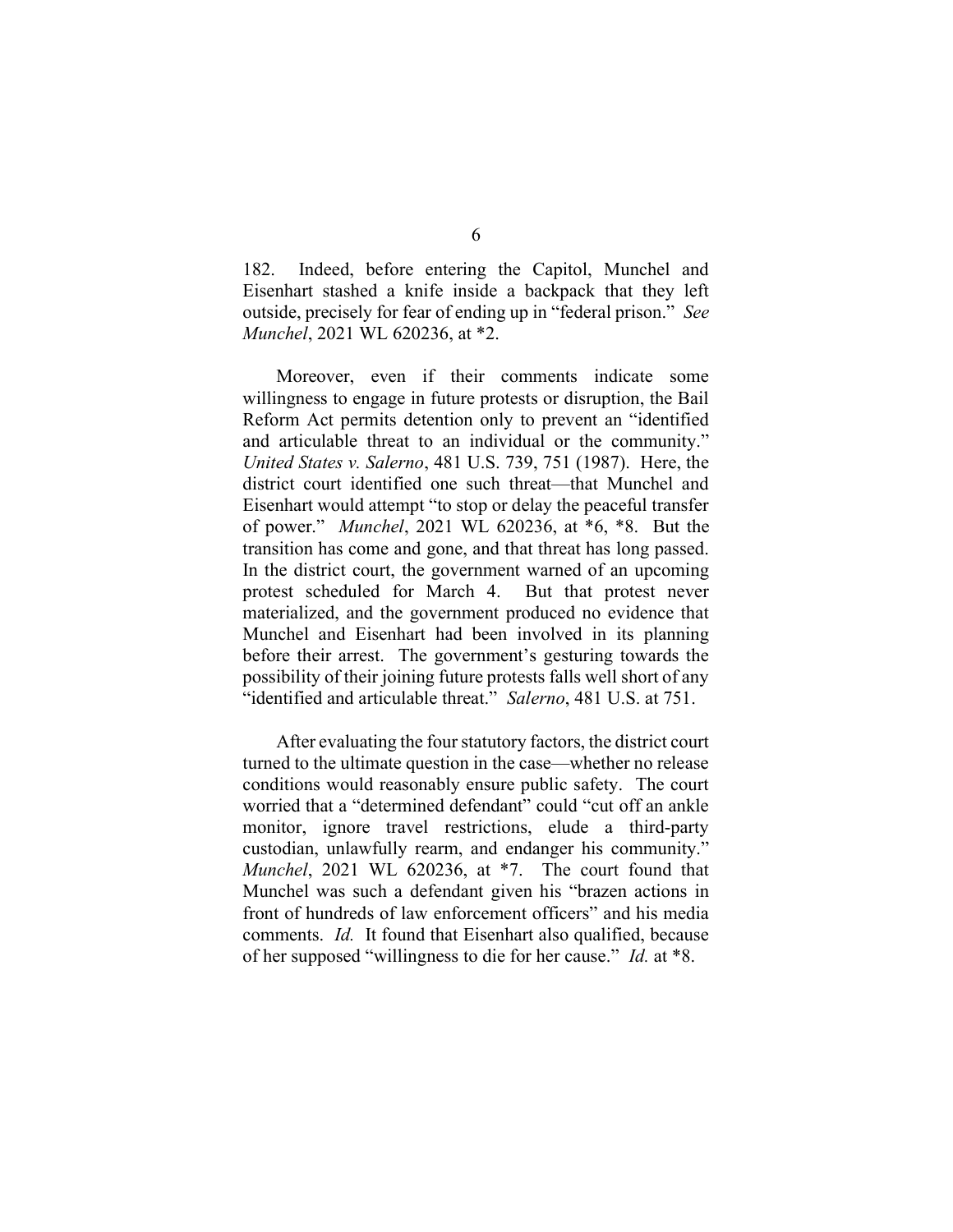182. Indeed, before entering the Capitol, Munchel and Eisenhart stashed a knife inside a backpack that they left outside, precisely for fear of ending up in "federal prison." See Munchel, 2021 WL 620236, at \*2.

 Moreover, even if their comments indicate some willingness to engage in future protests or disruption, the Bail Reform Act permits detention only to prevent an "identified and articulable threat to an individual or the community." United States v. Salerno, 481 U.S. 739, 751 (1987). Here, the district court identified one such threat—that Munchel and Eisenhart would attempt "to stop or delay the peaceful transfer of power." Munchel, 2021 WL 620236, at \*6, \*8. But the transition has come and gone, and that threat has long passed. In the district court, the government warned of an upcoming protest scheduled for March 4. But that protest never materialized, and the government produced no evidence that Munchel and Eisenhart had been involved in its planning before their arrest. The government's gesturing towards the possibility of their joining future protests falls well short of any "identified and articulable threat." Salerno, 481 U.S. at 751.

 After evaluating the four statutory factors, the district court turned to the ultimate question in the case—whether no release conditions would reasonably ensure public safety. The court worried that a "determined defendant" could "cut off an ankle monitor, ignore travel restrictions, elude a third-party custodian, unlawfully rearm, and endanger his community." Munchel, 2021 WL 620236, at \*7. The court found that Munchel was such a defendant given his "brazen actions in front of hundreds of law enforcement officers" and his media comments. Id. It found that Eisenhart also qualified, because of her supposed "willingness to die for her cause." Id. at \*8.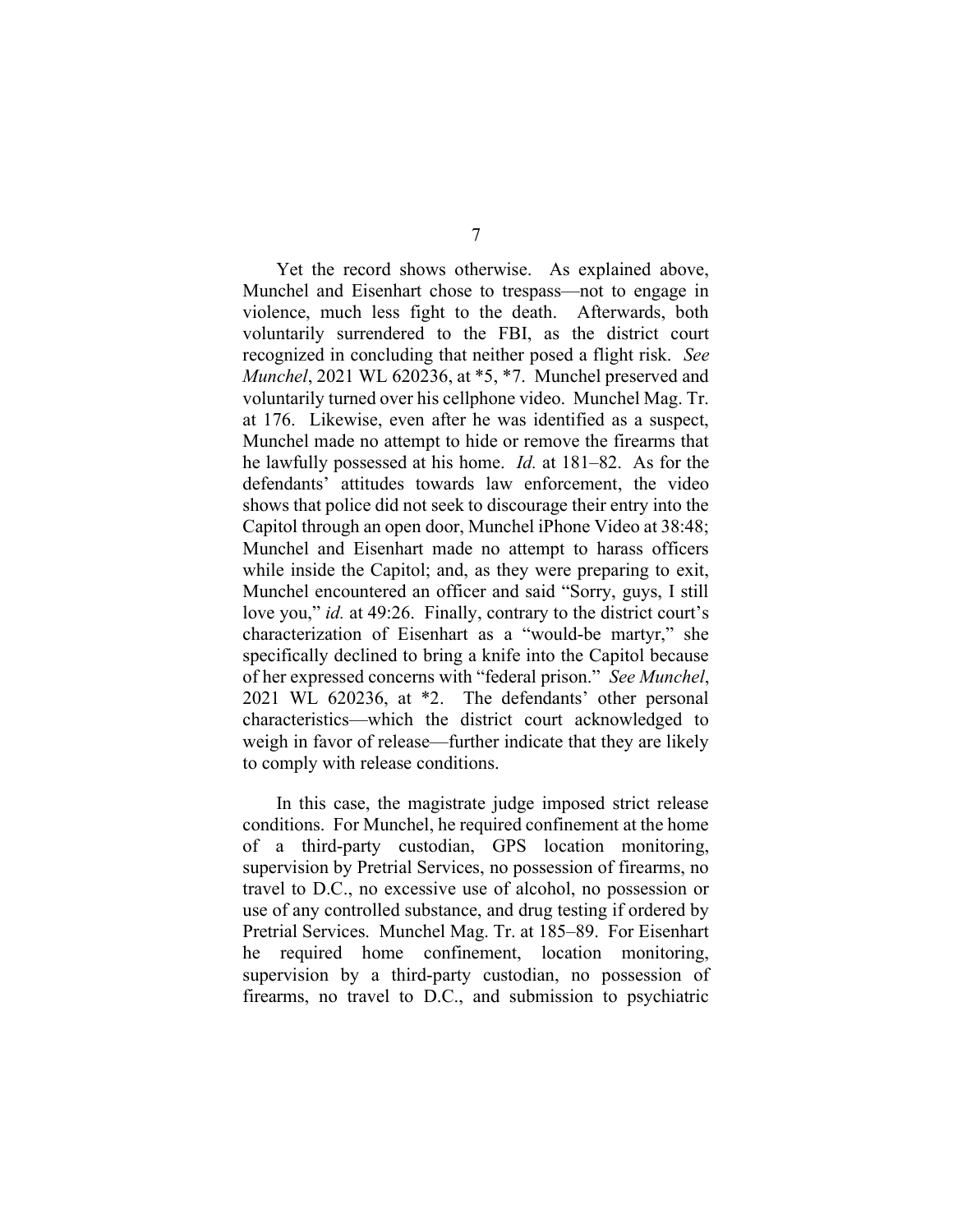Yet the record shows otherwise. As explained above, Munchel and Eisenhart chose to trespass—not to engage in violence, much less fight to the death. Afterwards, both voluntarily surrendered to the FBI, as the district court recognized in concluding that neither posed a flight risk. See Munchel, 2021 WL 620236, at \*5, \*7. Munchel preserved and voluntarily turned over his cellphone video. Munchel Mag. Tr. at 176. Likewise, even after he was identified as a suspect, Munchel made no attempt to hide or remove the firearms that he lawfully possessed at his home. Id. at 181–82. As for the defendants' attitudes towards law enforcement, the video shows that police did not seek to discourage their entry into the Capitol through an open door, Munchel iPhone Video at 38:48; Munchel and Eisenhart made no attempt to harass officers while inside the Capitol; and, as they were preparing to exit, Munchel encountered an officer and said "Sorry, guys, I still love you," *id.* at 49:26. Finally, contrary to the district court's characterization of Eisenhart as a "would-be martyr," she specifically declined to bring a knife into the Capitol because of her expressed concerns with "federal prison." See Munchel, 2021 WL 620236, at \*2. The defendants' other personal characteristics—which the district court acknowledged to weigh in favor of release—further indicate that they are likely to comply with release conditions.

 In this case, the magistrate judge imposed strict release conditions. For Munchel, he required confinement at the home of a third-party custodian, GPS location monitoring, supervision by Pretrial Services, no possession of firearms, no travel to D.C., no excessive use of alcohol, no possession or use of any controlled substance, and drug testing if ordered by Pretrial Services. Munchel Mag. Tr. at 185–89. For Eisenhart he required home confinement, location monitoring, supervision by a third-party custodian, no possession of firearms, no travel to D.C., and submission to psychiatric